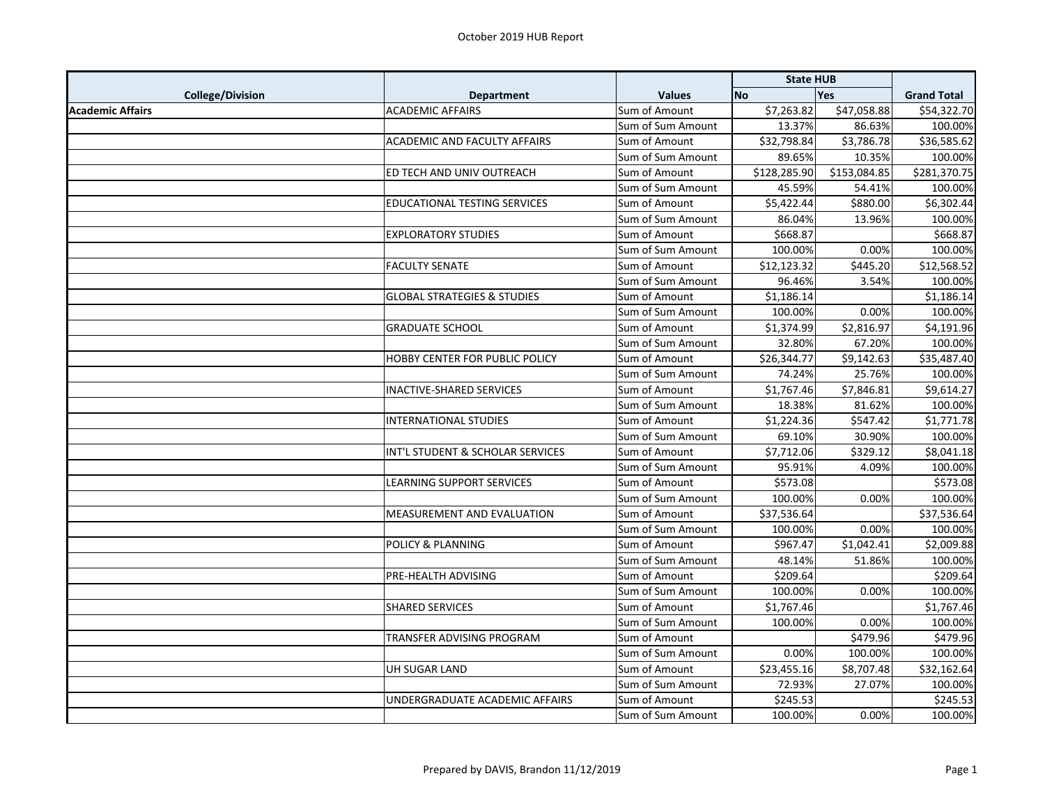|                         |                                        |                   | <b>State HUB</b> |              |                    |
|-------------------------|----------------------------------------|-------------------|------------------|--------------|--------------------|
| <b>College/Division</b> | <b>Department</b>                      | <b>Values</b>     | <b>No</b>        | Yes          | <b>Grand Total</b> |
| <b>Academic Affairs</b> | <b>ACADEMIC AFFAIRS</b>                | Sum of Amount     | \$7,263.82       | \$47,058.88  | \$54,322.70        |
|                         |                                        | Sum of Sum Amount | 13.37%           | 86.63%       | 100.00%            |
|                         | ACADEMIC AND FACULTY AFFAIRS           | Sum of Amount     | \$32,798.84      | \$3,786.78   | \$36,585.62        |
|                         |                                        | Sum of Sum Amount | 89.65%           | 10.35%       | 100.00%            |
|                         | ED TECH AND UNIV OUTREACH              | Sum of Amount     | \$128,285.90     | \$153,084.85 | \$281,370.75       |
|                         |                                        | Sum of Sum Amount | 45.59%           | 54.41%       | 100.00%            |
|                         | EDUCATIONAL TESTING SERVICES           | Sum of Amount     | \$5,422.44       | \$880.00     | \$6,302.44         |
|                         |                                        | Sum of Sum Amount | 86.04%           | 13.96%       | 100.00%            |
|                         | <b>EXPLORATORY STUDIES</b>             | Sum of Amount     | \$668.87         |              | \$668.87           |
|                         |                                        | Sum of Sum Amount | 100.00%          | 0.00%        | 100.00%            |
|                         | <b>FACULTY SENATE</b>                  | Sum of Amount     | \$12,123.32      | \$445.20     | \$12,568.52        |
|                         |                                        | Sum of Sum Amount | 96.46%           | 3.54%        | 100.00%            |
|                         | <b>GLOBAL STRATEGIES &amp; STUDIES</b> | Sum of Amount     | \$1,186.14       |              | \$1,186.14         |
|                         |                                        | Sum of Sum Amount | 100.00%          | 0.00%        | 100.00%            |
|                         | <b>GRADUATE SCHOOL</b>                 | Sum of Amount     | \$1,374.99       | \$2,816.97   | \$4,191.96         |
|                         |                                        | Sum of Sum Amount | 32.80%           | 67.20%       | 100.00%            |
|                         | HOBBY CENTER FOR PUBLIC POLICY         | Sum of Amount     | \$26,344.77      | \$9,142.63   | \$35,487.40        |
|                         |                                        | Sum of Sum Amount | 74.24%           | 25.76%       | 100.00%            |
|                         | <b>INACTIVE-SHARED SERVICES</b>        | Sum of Amount     | \$1,767.46       | \$7,846.81   | \$9,614.27         |
|                         |                                        | Sum of Sum Amount | 18.38%           | 81.62%       | 100.00%            |
|                         | <b>INTERNATIONAL STUDIES</b>           | Sum of Amount     | \$1,224.36       | \$547.42     | \$1,771.78         |
|                         |                                        | Sum of Sum Amount | 69.10%           | 30.90%       | 100.00%            |
|                         | INT'L STUDENT & SCHOLAR SERVICES       | Sum of Amount     | \$7,712.06       | \$329.12     | \$8,041.18         |
|                         |                                        | Sum of Sum Amount | 95.91%           | 4.09%        | 100.00%            |
|                         | LEARNING SUPPORT SERVICES              | Sum of Amount     | \$573.08         |              | \$573.08           |
|                         |                                        | Sum of Sum Amount | 100.00%          | 0.00%        | 100.00%            |
|                         | MEASUREMENT AND EVALUATION             | Sum of Amount     | \$37,536.64      |              | \$37,536.64        |
|                         |                                        | Sum of Sum Amount | 100.00%          | 0.00%        | 100.00%            |
|                         | <b>POLICY &amp; PLANNING</b>           | Sum of Amount     | \$967.47         | \$1,042.41   | \$2,009.88         |
|                         |                                        | Sum of Sum Amount | 48.14%           | 51.86%       | 100.00%            |
|                         | PRE-HEALTH ADVISING                    | Sum of Amount     | \$209.64         |              | \$209.64           |
|                         |                                        | Sum of Sum Amount | 100.00%          | 0.00%        | 100.00%            |
|                         | <b>SHARED SERVICES</b>                 | Sum of Amount     | \$1,767.46       |              | \$1,767.46         |
|                         |                                        | Sum of Sum Amount | 100.00%          | 0.00%        | 100.00%            |
|                         | TRANSFER ADVISING PROGRAM              | Sum of Amount     |                  | \$479.96     | \$479.96           |
|                         |                                        | Sum of Sum Amount | 0.00%            | 100.00%      | 100.00%            |
|                         | <b>UH SUGAR LAND</b>                   | Sum of Amount     | \$23,455.16      | \$8,707.48   | \$32,162.64        |
|                         |                                        | Sum of Sum Amount | 72.93%           | 27.07%       | 100.00%            |
|                         | UNDERGRADUATE ACADEMIC AFFAIRS         | Sum of Amount     | \$245.53         |              | \$245.53           |
|                         |                                        | Sum of Sum Amount | 100.00%          | 0.00%        | 100.00%            |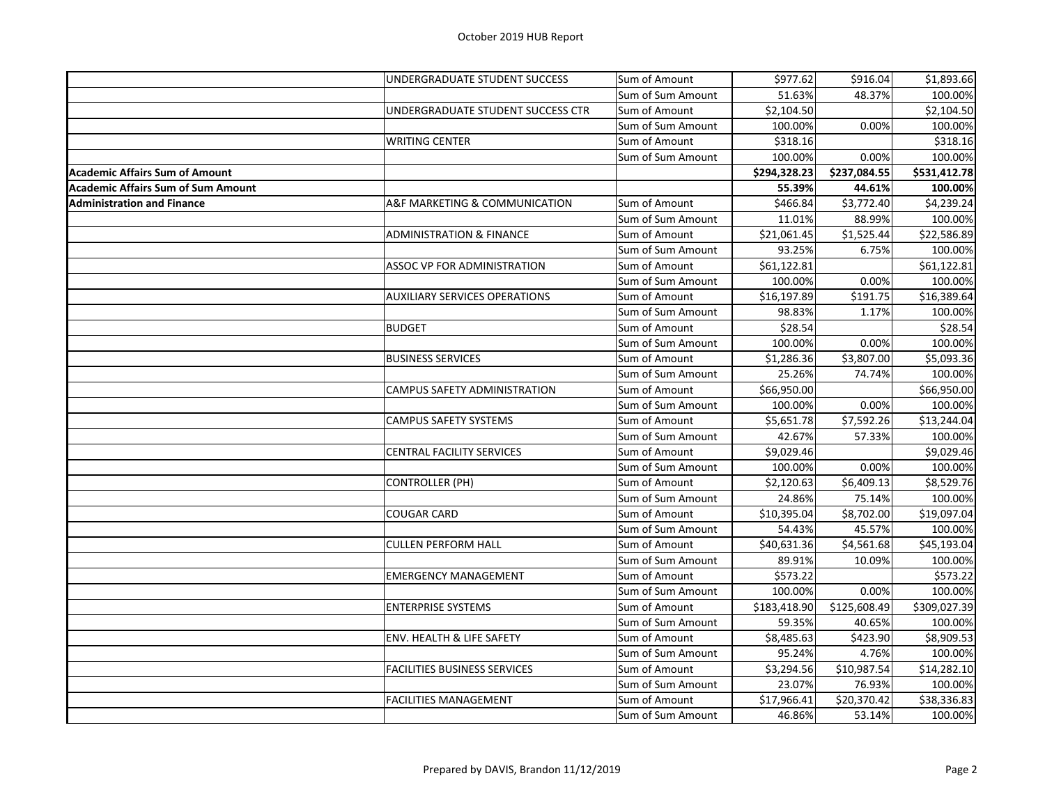| \$977.62<br>\$916.04<br>UNDERGRADUATE STUDENT SUCCESS<br>Sum of Amount<br>51.63%<br>48.37%<br>100.00%<br>Sum of Sum Amount<br>UNDERGRADUATE STUDENT SUCCESS CTR<br>\$2,104.50<br>\$2,104.50<br>Sum of Amount<br>100.00%<br>0.00%<br>100.00%<br>Sum of Sum Amount<br>\$318.16<br><b>WRITING CENTER</b><br>\$318.16<br>Sum of Amount<br>100.00%<br>100.00%<br>0.00%<br>Sum of Sum Amount<br>\$294,328.23<br>\$237,084.55<br>55.39%<br>44.61%<br>100.00%<br>\$3,772.40<br>A&F MARKETING & COMMUNICATION<br>Sum of Amount<br>\$466.84<br>\$4,239.24<br>100.00%<br>Sum of Sum Amount<br>11.01%<br>88.99%<br><b>ADMINISTRATION &amp; FINANCE</b><br>\$21,061.45<br>\$22,586.89<br>Sum of Amount<br>\$1,525.44<br>93.25%<br>100.00%<br>Sum of Sum Amount<br>6.75%<br>\$61,122.81<br>\$61,122.81<br>ASSOC VP FOR ADMINISTRATION<br>Sum of Amount<br>100.00%<br>0.00%<br>100.00%<br>Sum of Sum Amount<br><b>AUXILIARY SERVICES OPERATIONS</b><br>\$16,197.89<br>\$191.75<br>\$16,389.64<br>Sum of Amount<br>98.83%<br>1.17%<br>100.00%<br>Sum of Sum Amount<br>\$28.54<br>\$28.54<br><b>BUDGET</b><br>Sum of Amount<br>100.00%<br>0.00%<br>100.00%<br>Sum of Sum Amount<br>\$5,093.36<br><b>BUSINESS SERVICES</b><br>\$1,286.36<br>\$3,807.00<br>Sum of Amount<br>74.74%<br>25.26%<br>100.00%<br>Sum of Sum Amount<br>\$66,950.00<br>CAMPUS SAFETY ADMINISTRATION<br>Sum of Amount<br>\$66,950.00<br>100.00%<br>0.00%<br>100.00%<br>Sum of Sum Amount<br>\$13,244.04<br>CAMPUS SAFETY SYSTEMS<br>\$5,651.78<br>\$7,592.26<br>Sum of Amount<br>42.67%<br>57.33%<br>100.00%<br>Sum of Sum Amount<br>\$9,029.46<br><b>CENTRAL FACILITY SERVICES</b><br>Sum of Amount<br>100.00%<br>0.00%<br>100.00%<br>Sum of Sum Amount<br>\$6,409.13<br><b>CONTROLLER (PH)</b><br>\$2,120.63<br>Sum of Amount<br>24.86%<br>75.14%<br>100.00%<br>Sum of Sum Amount<br>\$10,395.04<br>\$19,097.04<br><b>COUGAR CARD</b><br>\$8,702.00<br>Sum of Amount<br>Sum of Sum Amount<br>54.43%<br>45.57%<br>100.00%<br><b>CULLEN PERFORM HALL</b><br>\$40,631.36<br>\$4,561.68<br>\$45,193.04<br>Sum of Amount<br>89.91%<br>10.09%<br>100.00%<br>Sum of Sum Amount<br>\$573.22<br><b>EMERGENCY MANAGEMENT</b><br>\$573.22<br>Sum of Amount<br>100.00%<br>100.00%<br>0.00%<br>Sum of Sum Amount<br>\$125,608.49<br>\$309,027.39<br><b>ENTERPRISE SYSTEMS</b><br>\$183,418.90<br>Sum of Amount<br>59.35%<br>40.65%<br>100.00%<br>Sum of Sum Amount<br>\$8,909.53<br>ENV. HEALTH & LIFE SAFETY<br>\$8,485.63<br>\$423.90<br>Sum of Amount<br>4.76%<br>100.00%<br>95.24%<br>Sum of Sum Amount<br>FACILITIES BUSINESS SERVICES<br>\$3,294.56<br>\$10,987.54<br>\$14,282.10<br>Sum of Amount<br>Sum of Sum Amount<br>23.07%<br>76.93%<br>100.00%<br><b>FACILITIES MANAGEMENT</b><br>\$20,370.42<br>\$38,336.83<br>Sum of Amount<br>\$17,966.41<br>46.86%<br>53.14%<br>100.00%<br>Sum of Sum Amount |                                           |  |  |              |
|---------------------------------------------------------------------------------------------------------------------------------------------------------------------------------------------------------------------------------------------------------------------------------------------------------------------------------------------------------------------------------------------------------------------------------------------------------------------------------------------------------------------------------------------------------------------------------------------------------------------------------------------------------------------------------------------------------------------------------------------------------------------------------------------------------------------------------------------------------------------------------------------------------------------------------------------------------------------------------------------------------------------------------------------------------------------------------------------------------------------------------------------------------------------------------------------------------------------------------------------------------------------------------------------------------------------------------------------------------------------------------------------------------------------------------------------------------------------------------------------------------------------------------------------------------------------------------------------------------------------------------------------------------------------------------------------------------------------------------------------------------------------------------------------------------------------------------------------------------------------------------------------------------------------------------------------------------------------------------------------------------------------------------------------------------------------------------------------------------------------------------------------------------------------------------------------------------------------------------------------------------------------------------------------------------------------------------------------------------------------------------------------------------------------------------------------------------------------------------------------------------------------------------------------------------------------------------------------------------------------------------------------------------------------------------------------------------------------------------------------------------------------------------------------------------------------------------------------------------|-------------------------------------------|--|--|--------------|
|                                                                                                                                                                                                                                                                                                                                                                                                                                                                                                                                                                                                                                                                                                                                                                                                                                                                                                                                                                                                                                                                                                                                                                                                                                                                                                                                                                                                                                                                                                                                                                                                                                                                                                                                                                                                                                                                                                                                                                                                                                                                                                                                                                                                                                                                                                                                                                                                                                                                                                                                                                                                                                                                                                                                                                                                                                                         |                                           |  |  | \$1,893.66   |
|                                                                                                                                                                                                                                                                                                                                                                                                                                                                                                                                                                                                                                                                                                                                                                                                                                                                                                                                                                                                                                                                                                                                                                                                                                                                                                                                                                                                                                                                                                                                                                                                                                                                                                                                                                                                                                                                                                                                                                                                                                                                                                                                                                                                                                                                                                                                                                                                                                                                                                                                                                                                                                                                                                                                                                                                                                                         |                                           |  |  |              |
|                                                                                                                                                                                                                                                                                                                                                                                                                                                                                                                                                                                                                                                                                                                                                                                                                                                                                                                                                                                                                                                                                                                                                                                                                                                                                                                                                                                                                                                                                                                                                                                                                                                                                                                                                                                                                                                                                                                                                                                                                                                                                                                                                                                                                                                                                                                                                                                                                                                                                                                                                                                                                                                                                                                                                                                                                                                         |                                           |  |  |              |
|                                                                                                                                                                                                                                                                                                                                                                                                                                                                                                                                                                                                                                                                                                                                                                                                                                                                                                                                                                                                                                                                                                                                                                                                                                                                                                                                                                                                                                                                                                                                                                                                                                                                                                                                                                                                                                                                                                                                                                                                                                                                                                                                                                                                                                                                                                                                                                                                                                                                                                                                                                                                                                                                                                                                                                                                                                                         |                                           |  |  |              |
|                                                                                                                                                                                                                                                                                                                                                                                                                                                                                                                                                                                                                                                                                                                                                                                                                                                                                                                                                                                                                                                                                                                                                                                                                                                                                                                                                                                                                                                                                                                                                                                                                                                                                                                                                                                                                                                                                                                                                                                                                                                                                                                                                                                                                                                                                                                                                                                                                                                                                                                                                                                                                                                                                                                                                                                                                                                         |                                           |  |  |              |
|                                                                                                                                                                                                                                                                                                                                                                                                                                                                                                                                                                                                                                                                                                                                                                                                                                                                                                                                                                                                                                                                                                                                                                                                                                                                                                                                                                                                                                                                                                                                                                                                                                                                                                                                                                                                                                                                                                                                                                                                                                                                                                                                                                                                                                                                                                                                                                                                                                                                                                                                                                                                                                                                                                                                                                                                                                                         |                                           |  |  |              |
|                                                                                                                                                                                                                                                                                                                                                                                                                                                                                                                                                                                                                                                                                                                                                                                                                                                                                                                                                                                                                                                                                                                                                                                                                                                                                                                                                                                                                                                                                                                                                                                                                                                                                                                                                                                                                                                                                                                                                                                                                                                                                                                                                                                                                                                                                                                                                                                                                                                                                                                                                                                                                                                                                                                                                                                                                                                         | <b>Academic Affairs Sum of Amount</b>     |  |  | \$531,412.78 |
|                                                                                                                                                                                                                                                                                                                                                                                                                                                                                                                                                                                                                                                                                                                                                                                                                                                                                                                                                                                                                                                                                                                                                                                                                                                                                                                                                                                                                                                                                                                                                                                                                                                                                                                                                                                                                                                                                                                                                                                                                                                                                                                                                                                                                                                                                                                                                                                                                                                                                                                                                                                                                                                                                                                                                                                                                                                         | <b>Academic Affairs Sum of Sum Amount</b> |  |  |              |
|                                                                                                                                                                                                                                                                                                                                                                                                                                                                                                                                                                                                                                                                                                                                                                                                                                                                                                                                                                                                                                                                                                                                                                                                                                                                                                                                                                                                                                                                                                                                                                                                                                                                                                                                                                                                                                                                                                                                                                                                                                                                                                                                                                                                                                                                                                                                                                                                                                                                                                                                                                                                                                                                                                                                                                                                                                                         | <b>Administration and Finance</b>         |  |  |              |
|                                                                                                                                                                                                                                                                                                                                                                                                                                                                                                                                                                                                                                                                                                                                                                                                                                                                                                                                                                                                                                                                                                                                                                                                                                                                                                                                                                                                                                                                                                                                                                                                                                                                                                                                                                                                                                                                                                                                                                                                                                                                                                                                                                                                                                                                                                                                                                                                                                                                                                                                                                                                                                                                                                                                                                                                                                                         |                                           |  |  |              |
|                                                                                                                                                                                                                                                                                                                                                                                                                                                                                                                                                                                                                                                                                                                                                                                                                                                                                                                                                                                                                                                                                                                                                                                                                                                                                                                                                                                                                                                                                                                                                                                                                                                                                                                                                                                                                                                                                                                                                                                                                                                                                                                                                                                                                                                                                                                                                                                                                                                                                                                                                                                                                                                                                                                                                                                                                                                         |                                           |  |  |              |
|                                                                                                                                                                                                                                                                                                                                                                                                                                                                                                                                                                                                                                                                                                                                                                                                                                                                                                                                                                                                                                                                                                                                                                                                                                                                                                                                                                                                                                                                                                                                                                                                                                                                                                                                                                                                                                                                                                                                                                                                                                                                                                                                                                                                                                                                                                                                                                                                                                                                                                                                                                                                                                                                                                                                                                                                                                                         |                                           |  |  |              |
|                                                                                                                                                                                                                                                                                                                                                                                                                                                                                                                                                                                                                                                                                                                                                                                                                                                                                                                                                                                                                                                                                                                                                                                                                                                                                                                                                                                                                                                                                                                                                                                                                                                                                                                                                                                                                                                                                                                                                                                                                                                                                                                                                                                                                                                                                                                                                                                                                                                                                                                                                                                                                                                                                                                                                                                                                                                         |                                           |  |  |              |
|                                                                                                                                                                                                                                                                                                                                                                                                                                                                                                                                                                                                                                                                                                                                                                                                                                                                                                                                                                                                                                                                                                                                                                                                                                                                                                                                                                                                                                                                                                                                                                                                                                                                                                                                                                                                                                                                                                                                                                                                                                                                                                                                                                                                                                                                                                                                                                                                                                                                                                                                                                                                                                                                                                                                                                                                                                                         |                                           |  |  |              |
|                                                                                                                                                                                                                                                                                                                                                                                                                                                                                                                                                                                                                                                                                                                                                                                                                                                                                                                                                                                                                                                                                                                                                                                                                                                                                                                                                                                                                                                                                                                                                                                                                                                                                                                                                                                                                                                                                                                                                                                                                                                                                                                                                                                                                                                                                                                                                                                                                                                                                                                                                                                                                                                                                                                                                                                                                                                         |                                           |  |  |              |
|                                                                                                                                                                                                                                                                                                                                                                                                                                                                                                                                                                                                                                                                                                                                                                                                                                                                                                                                                                                                                                                                                                                                                                                                                                                                                                                                                                                                                                                                                                                                                                                                                                                                                                                                                                                                                                                                                                                                                                                                                                                                                                                                                                                                                                                                                                                                                                                                                                                                                                                                                                                                                                                                                                                                                                                                                                                         |                                           |  |  |              |
|                                                                                                                                                                                                                                                                                                                                                                                                                                                                                                                                                                                                                                                                                                                                                                                                                                                                                                                                                                                                                                                                                                                                                                                                                                                                                                                                                                                                                                                                                                                                                                                                                                                                                                                                                                                                                                                                                                                                                                                                                                                                                                                                                                                                                                                                                                                                                                                                                                                                                                                                                                                                                                                                                                                                                                                                                                                         |                                           |  |  |              |
|                                                                                                                                                                                                                                                                                                                                                                                                                                                                                                                                                                                                                                                                                                                                                                                                                                                                                                                                                                                                                                                                                                                                                                                                                                                                                                                                                                                                                                                                                                                                                                                                                                                                                                                                                                                                                                                                                                                                                                                                                                                                                                                                                                                                                                                                                                                                                                                                                                                                                                                                                                                                                                                                                                                                                                                                                                                         |                                           |  |  |              |
|                                                                                                                                                                                                                                                                                                                                                                                                                                                                                                                                                                                                                                                                                                                                                                                                                                                                                                                                                                                                                                                                                                                                                                                                                                                                                                                                                                                                                                                                                                                                                                                                                                                                                                                                                                                                                                                                                                                                                                                                                                                                                                                                                                                                                                                                                                                                                                                                                                                                                                                                                                                                                                                                                                                                                                                                                                                         |                                           |  |  |              |
|                                                                                                                                                                                                                                                                                                                                                                                                                                                                                                                                                                                                                                                                                                                                                                                                                                                                                                                                                                                                                                                                                                                                                                                                                                                                                                                                                                                                                                                                                                                                                                                                                                                                                                                                                                                                                                                                                                                                                                                                                                                                                                                                                                                                                                                                                                                                                                                                                                                                                                                                                                                                                                                                                                                                                                                                                                                         |                                           |  |  |              |
|                                                                                                                                                                                                                                                                                                                                                                                                                                                                                                                                                                                                                                                                                                                                                                                                                                                                                                                                                                                                                                                                                                                                                                                                                                                                                                                                                                                                                                                                                                                                                                                                                                                                                                                                                                                                                                                                                                                                                                                                                                                                                                                                                                                                                                                                                                                                                                                                                                                                                                                                                                                                                                                                                                                                                                                                                                                         |                                           |  |  |              |
|                                                                                                                                                                                                                                                                                                                                                                                                                                                                                                                                                                                                                                                                                                                                                                                                                                                                                                                                                                                                                                                                                                                                                                                                                                                                                                                                                                                                                                                                                                                                                                                                                                                                                                                                                                                                                                                                                                                                                                                                                                                                                                                                                                                                                                                                                                                                                                                                                                                                                                                                                                                                                                                                                                                                                                                                                                                         |                                           |  |  |              |
|                                                                                                                                                                                                                                                                                                                                                                                                                                                                                                                                                                                                                                                                                                                                                                                                                                                                                                                                                                                                                                                                                                                                                                                                                                                                                                                                                                                                                                                                                                                                                                                                                                                                                                                                                                                                                                                                                                                                                                                                                                                                                                                                                                                                                                                                                                                                                                                                                                                                                                                                                                                                                                                                                                                                                                                                                                                         |                                           |  |  |              |
|                                                                                                                                                                                                                                                                                                                                                                                                                                                                                                                                                                                                                                                                                                                                                                                                                                                                                                                                                                                                                                                                                                                                                                                                                                                                                                                                                                                                                                                                                                                                                                                                                                                                                                                                                                                                                                                                                                                                                                                                                                                                                                                                                                                                                                                                                                                                                                                                                                                                                                                                                                                                                                                                                                                                                                                                                                                         |                                           |  |  |              |
|                                                                                                                                                                                                                                                                                                                                                                                                                                                                                                                                                                                                                                                                                                                                                                                                                                                                                                                                                                                                                                                                                                                                                                                                                                                                                                                                                                                                                                                                                                                                                                                                                                                                                                                                                                                                                                                                                                                                                                                                                                                                                                                                                                                                                                                                                                                                                                                                                                                                                                                                                                                                                                                                                                                                                                                                                                                         |                                           |  |  | \$9,029.46   |
|                                                                                                                                                                                                                                                                                                                                                                                                                                                                                                                                                                                                                                                                                                                                                                                                                                                                                                                                                                                                                                                                                                                                                                                                                                                                                                                                                                                                                                                                                                                                                                                                                                                                                                                                                                                                                                                                                                                                                                                                                                                                                                                                                                                                                                                                                                                                                                                                                                                                                                                                                                                                                                                                                                                                                                                                                                                         |                                           |  |  |              |
|                                                                                                                                                                                                                                                                                                                                                                                                                                                                                                                                                                                                                                                                                                                                                                                                                                                                                                                                                                                                                                                                                                                                                                                                                                                                                                                                                                                                                                                                                                                                                                                                                                                                                                                                                                                                                                                                                                                                                                                                                                                                                                                                                                                                                                                                                                                                                                                                                                                                                                                                                                                                                                                                                                                                                                                                                                                         |                                           |  |  | \$8,529.76   |
|                                                                                                                                                                                                                                                                                                                                                                                                                                                                                                                                                                                                                                                                                                                                                                                                                                                                                                                                                                                                                                                                                                                                                                                                                                                                                                                                                                                                                                                                                                                                                                                                                                                                                                                                                                                                                                                                                                                                                                                                                                                                                                                                                                                                                                                                                                                                                                                                                                                                                                                                                                                                                                                                                                                                                                                                                                                         |                                           |  |  |              |
|                                                                                                                                                                                                                                                                                                                                                                                                                                                                                                                                                                                                                                                                                                                                                                                                                                                                                                                                                                                                                                                                                                                                                                                                                                                                                                                                                                                                                                                                                                                                                                                                                                                                                                                                                                                                                                                                                                                                                                                                                                                                                                                                                                                                                                                                                                                                                                                                                                                                                                                                                                                                                                                                                                                                                                                                                                                         |                                           |  |  |              |
|                                                                                                                                                                                                                                                                                                                                                                                                                                                                                                                                                                                                                                                                                                                                                                                                                                                                                                                                                                                                                                                                                                                                                                                                                                                                                                                                                                                                                                                                                                                                                                                                                                                                                                                                                                                                                                                                                                                                                                                                                                                                                                                                                                                                                                                                                                                                                                                                                                                                                                                                                                                                                                                                                                                                                                                                                                                         |                                           |  |  |              |
|                                                                                                                                                                                                                                                                                                                                                                                                                                                                                                                                                                                                                                                                                                                                                                                                                                                                                                                                                                                                                                                                                                                                                                                                                                                                                                                                                                                                                                                                                                                                                                                                                                                                                                                                                                                                                                                                                                                                                                                                                                                                                                                                                                                                                                                                                                                                                                                                                                                                                                                                                                                                                                                                                                                                                                                                                                                         |                                           |  |  |              |
|                                                                                                                                                                                                                                                                                                                                                                                                                                                                                                                                                                                                                                                                                                                                                                                                                                                                                                                                                                                                                                                                                                                                                                                                                                                                                                                                                                                                                                                                                                                                                                                                                                                                                                                                                                                                                                                                                                                                                                                                                                                                                                                                                                                                                                                                                                                                                                                                                                                                                                                                                                                                                                                                                                                                                                                                                                                         |                                           |  |  |              |
|                                                                                                                                                                                                                                                                                                                                                                                                                                                                                                                                                                                                                                                                                                                                                                                                                                                                                                                                                                                                                                                                                                                                                                                                                                                                                                                                                                                                                                                                                                                                                                                                                                                                                                                                                                                                                                                                                                                                                                                                                                                                                                                                                                                                                                                                                                                                                                                                                                                                                                                                                                                                                                                                                                                                                                                                                                                         |                                           |  |  |              |
|                                                                                                                                                                                                                                                                                                                                                                                                                                                                                                                                                                                                                                                                                                                                                                                                                                                                                                                                                                                                                                                                                                                                                                                                                                                                                                                                                                                                                                                                                                                                                                                                                                                                                                                                                                                                                                                                                                                                                                                                                                                                                                                                                                                                                                                                                                                                                                                                                                                                                                                                                                                                                                                                                                                                                                                                                                                         |                                           |  |  |              |
|                                                                                                                                                                                                                                                                                                                                                                                                                                                                                                                                                                                                                                                                                                                                                                                                                                                                                                                                                                                                                                                                                                                                                                                                                                                                                                                                                                                                                                                                                                                                                                                                                                                                                                                                                                                                                                                                                                                                                                                                                                                                                                                                                                                                                                                                                                                                                                                                                                                                                                                                                                                                                                                                                                                                                                                                                                                         |                                           |  |  |              |
|                                                                                                                                                                                                                                                                                                                                                                                                                                                                                                                                                                                                                                                                                                                                                                                                                                                                                                                                                                                                                                                                                                                                                                                                                                                                                                                                                                                                                                                                                                                                                                                                                                                                                                                                                                                                                                                                                                                                                                                                                                                                                                                                                                                                                                                                                                                                                                                                                                                                                                                                                                                                                                                                                                                                                                                                                                                         |                                           |  |  |              |
|                                                                                                                                                                                                                                                                                                                                                                                                                                                                                                                                                                                                                                                                                                                                                                                                                                                                                                                                                                                                                                                                                                                                                                                                                                                                                                                                                                                                                                                                                                                                                                                                                                                                                                                                                                                                                                                                                                                                                                                                                                                                                                                                                                                                                                                                                                                                                                                                                                                                                                                                                                                                                                                                                                                                                                                                                                                         |                                           |  |  |              |
|                                                                                                                                                                                                                                                                                                                                                                                                                                                                                                                                                                                                                                                                                                                                                                                                                                                                                                                                                                                                                                                                                                                                                                                                                                                                                                                                                                                                                                                                                                                                                                                                                                                                                                                                                                                                                                                                                                                                                                                                                                                                                                                                                                                                                                                                                                                                                                                                                                                                                                                                                                                                                                                                                                                                                                                                                                                         |                                           |  |  |              |
|                                                                                                                                                                                                                                                                                                                                                                                                                                                                                                                                                                                                                                                                                                                                                                                                                                                                                                                                                                                                                                                                                                                                                                                                                                                                                                                                                                                                                                                                                                                                                                                                                                                                                                                                                                                                                                                                                                                                                                                                                                                                                                                                                                                                                                                                                                                                                                                                                                                                                                                                                                                                                                                                                                                                                                                                                                                         |                                           |  |  |              |
|                                                                                                                                                                                                                                                                                                                                                                                                                                                                                                                                                                                                                                                                                                                                                                                                                                                                                                                                                                                                                                                                                                                                                                                                                                                                                                                                                                                                                                                                                                                                                                                                                                                                                                                                                                                                                                                                                                                                                                                                                                                                                                                                                                                                                                                                                                                                                                                                                                                                                                                                                                                                                                                                                                                                                                                                                                                         |                                           |  |  |              |
|                                                                                                                                                                                                                                                                                                                                                                                                                                                                                                                                                                                                                                                                                                                                                                                                                                                                                                                                                                                                                                                                                                                                                                                                                                                                                                                                                                                                                                                                                                                                                                                                                                                                                                                                                                                                                                                                                                                                                                                                                                                                                                                                                                                                                                                                                                                                                                                                                                                                                                                                                                                                                                                                                                                                                                                                                                                         |                                           |  |  |              |
|                                                                                                                                                                                                                                                                                                                                                                                                                                                                                                                                                                                                                                                                                                                                                                                                                                                                                                                                                                                                                                                                                                                                                                                                                                                                                                                                                                                                                                                                                                                                                                                                                                                                                                                                                                                                                                                                                                                                                                                                                                                                                                                                                                                                                                                                                                                                                                                                                                                                                                                                                                                                                                                                                                                                                                                                                                                         |                                           |  |  |              |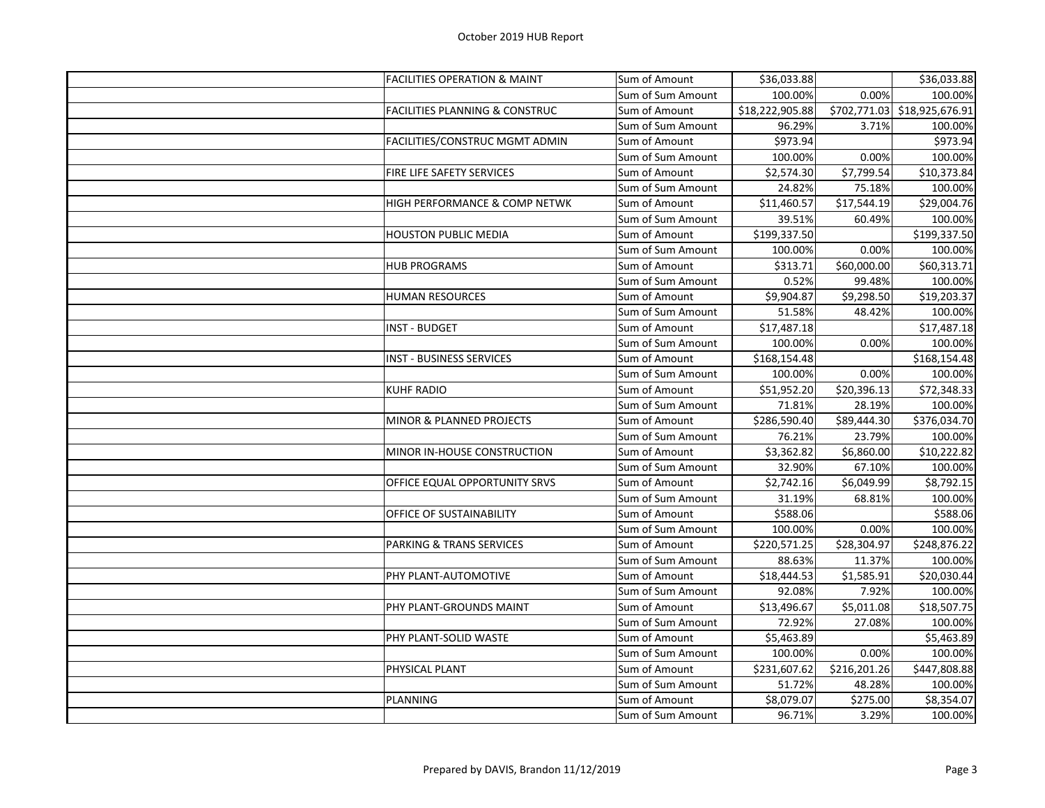| <b>FACILITIES OPERATION &amp; MAINT</b>   | Sum of Amount     | \$36,033.88     |              | \$36,033.88                  |
|-------------------------------------------|-------------------|-----------------|--------------|------------------------------|
|                                           | Sum of Sum Amount | 100.00%         | 0.00%        | 100.00%                      |
| <b>FACILITIES PLANNING &amp; CONSTRUC</b> | Sum of Amount     | \$18,222,905.88 |              | \$702,771.03 \$18,925,676.91 |
|                                           | Sum of Sum Amount | 96.29%          | 3.71%        | 100.00%                      |
| FACILITIES/CONSTRUC MGMT ADMIN            | Sum of Amount     | \$973.94        |              | \$973.94                     |
|                                           | Sum of Sum Amount | 100.00%         | 0.00%        | 100.00%                      |
| FIRE LIFE SAFETY SERVICES                 | Sum of Amount     | \$2,574.30      | \$7,799.54   | \$10,373.84                  |
|                                           | Sum of Sum Amount | 24.82%          | 75.18%       | 100.00%                      |
| HIGH PERFORMANCE & COMP NETWK             | Sum of Amount     | \$11,460.57     | \$17,544.19  | \$29,004.76                  |
|                                           | Sum of Sum Amount | 39.51%          | 60.49%       | 100.00%                      |
| <b>HOUSTON PUBLIC MEDIA</b>               | Sum of Amount     | \$199,337.50    |              | \$199,337.50                 |
|                                           | Sum of Sum Amount | 100.00%         | 0.00%        | 100.00%                      |
| <b>HUB PROGRAMS</b>                       | Sum of Amount     | \$313.71        | \$60,000.00  | \$60,313.71                  |
|                                           | Sum of Sum Amount | 0.52%           | 99.48%       | 100.00%                      |
| <b>HUMAN RESOURCES</b>                    | Sum of Amount     | \$9,904.87      | \$9,298.50   | \$19,203.37                  |
|                                           | Sum of Sum Amount | 51.58%          | 48.42%       | 100.00%                      |
| <b>INST - BUDGET</b>                      | Sum of Amount     | \$17,487.18     |              | \$17,487.18                  |
|                                           | Sum of Sum Amount | 100.00%         | 0.00%        | 100.00%                      |
| INST - BUSINESS SERVICES                  | Sum of Amount     | \$168,154.48    |              | \$168,154.48                 |
|                                           | Sum of Sum Amount | 100.00%         | 0.00%        | 100.00%                      |
| <b>KUHF RADIO</b>                         | Sum of Amount     | \$51,952.20     | \$20,396.13  | \$72,348.33                  |
|                                           | Sum of Sum Amount | 71.81%          | 28.19%       | 100.00%                      |
| MINOR & PLANNED PROJECTS                  | Sum of Amount     | \$286,590.40    | \$89,444.30  | \$376,034.70                 |
|                                           | Sum of Sum Amount | 76.21%          | 23.79%       | 100.00%                      |
| MINOR IN-HOUSE CONSTRUCTION               | Sum of Amount     | \$3,362.82      | \$6,860.00   | \$10,222.82                  |
|                                           | Sum of Sum Amount | 32.90%          | 67.10%       | 100.00%                      |
| OFFICE EQUAL OPPORTUNITY SRVS             | Sum of Amount     | \$2,742.16      | \$6,049.99   | \$8,792.15                   |
|                                           | Sum of Sum Amount | 31.19%          | 68.81%       | 100.00%                      |
| OFFICE OF SUSTAINABILITY                  | Sum of Amount     | \$588.06        |              | \$588.06                     |
|                                           | Sum of Sum Amount | 100.00%         | 0.00%        | 100.00%                      |
| <b>PARKING &amp; TRANS SERVICES</b>       | Sum of Amount     | \$220,571.25    | \$28,304.97  | \$248,876.22                 |
|                                           | Sum of Sum Amount | 88.63%          | 11.37%       | 100.00%                      |
| PHY PLANT-AUTOMOTIVE                      | Sum of Amount     | \$18,444.53     | \$1,585.91   | \$20,030.44                  |
|                                           | Sum of Sum Amount | 92.08%          | 7.92%        | 100.00%                      |
| PHY PLANT-GROUNDS MAINT                   | Sum of Amount     | \$13,496.67     | \$5,011.08   | \$18,507.75                  |
|                                           | Sum of Sum Amount | 72.92%          | 27.08%       | 100.00%                      |
| PHY PLANT-SOLID WASTE                     | Sum of Amount     | \$5,463.89      |              | \$5,463.89                   |
|                                           | Sum of Sum Amount | 100.00%         | 0.00%        | 100.00%                      |
| PHYSICAL PLANT                            | Sum of Amount     | \$231,607.62    | \$216,201.26 | \$447,808.88                 |
|                                           | Sum of Sum Amount | 51.72%          | 48.28%       | 100.00%                      |
| PLANNING                                  | Sum of Amount     | \$8,079.07      | \$275.00     | \$8,354.07                   |
|                                           | Sum of Sum Amount | 96.71%          | 3.29%        | 100.00%                      |
|                                           |                   |                 |              |                              |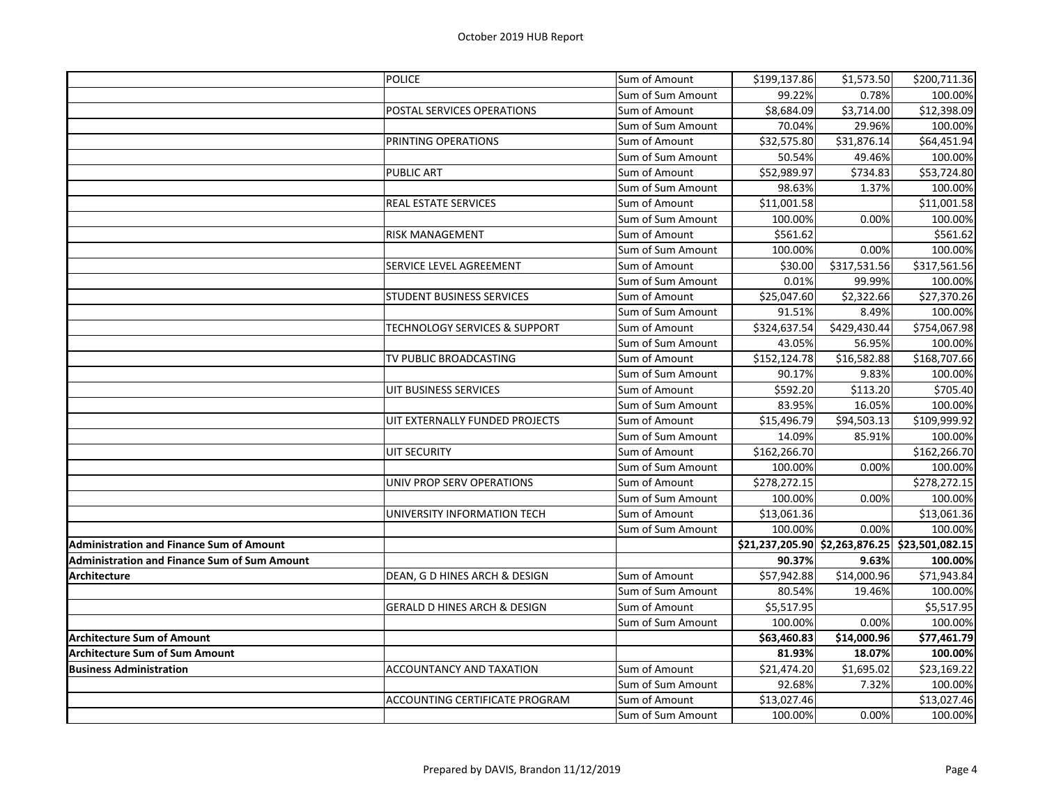| <b>POLICE</b><br>\$199,137.86<br>\$1,573.50<br>Sum of Amount<br>99.22%<br>0.78%<br>Sum of Sum Amount<br>POSTAL SERVICES OPERATIONS<br>\$8,684.09<br>\$3,714.00<br>Sum of Amount<br>29.96%<br>Sum of Sum Amount<br>70.04%<br>PRINTING OPERATIONS<br>\$32,575.80<br>\$31,876.14<br>Sum of Amount<br>50.54%<br>49.46%<br>Sum of Sum Amount<br>\$52,989.97<br>\$734.83<br><b>PUBLIC ART</b><br>Sum of Amount<br>98.63%<br>1.37%<br>Sum of Sum Amount<br>\$11,001.58<br>REAL ESTATE SERVICES<br>Sum of Amount<br>100.00%<br>0.00%<br>Sum of Sum Amount<br><b>RISK MANAGEMENT</b><br>Sum of Amount<br>\$561.62 | \$200,711.36<br>100.00%<br>\$12,398.09<br>100.00%<br>\$64,451.94<br>100.00%<br>\$53,724.80<br>100.00% |
|----------------------------------------------------------------------------------------------------------------------------------------------------------------------------------------------------------------------------------------------------------------------------------------------------------------------------------------------------------------------------------------------------------------------------------------------------------------------------------------------------------------------------------------------------------------------------------------------------------|-------------------------------------------------------------------------------------------------------|
|                                                                                                                                                                                                                                                                                                                                                                                                                                                                                                                                                                                                          |                                                                                                       |
|                                                                                                                                                                                                                                                                                                                                                                                                                                                                                                                                                                                                          |                                                                                                       |
|                                                                                                                                                                                                                                                                                                                                                                                                                                                                                                                                                                                                          |                                                                                                       |
|                                                                                                                                                                                                                                                                                                                                                                                                                                                                                                                                                                                                          |                                                                                                       |
|                                                                                                                                                                                                                                                                                                                                                                                                                                                                                                                                                                                                          |                                                                                                       |
|                                                                                                                                                                                                                                                                                                                                                                                                                                                                                                                                                                                                          |                                                                                                       |
|                                                                                                                                                                                                                                                                                                                                                                                                                                                                                                                                                                                                          |                                                                                                       |
|                                                                                                                                                                                                                                                                                                                                                                                                                                                                                                                                                                                                          |                                                                                                       |
|                                                                                                                                                                                                                                                                                                                                                                                                                                                                                                                                                                                                          | \$11,001.58                                                                                           |
|                                                                                                                                                                                                                                                                                                                                                                                                                                                                                                                                                                                                          | 100.00%                                                                                               |
|                                                                                                                                                                                                                                                                                                                                                                                                                                                                                                                                                                                                          | \$561.62                                                                                              |
| 100.00%<br>0.00%<br>Sum of Sum Amount                                                                                                                                                                                                                                                                                                                                                                                                                                                                                                                                                                    | 100.00%                                                                                               |
| SERVICE LEVEL AGREEMENT<br>\$30.00<br>\$317,531.56<br>Sum of Amount                                                                                                                                                                                                                                                                                                                                                                                                                                                                                                                                      | \$317,561.56                                                                                          |
| 0.01%<br>99.99%<br>Sum of Sum Amount                                                                                                                                                                                                                                                                                                                                                                                                                                                                                                                                                                     | 100.00%                                                                                               |
| $\overline{$}25,047.60$<br>\$2,322.66<br>STUDENT BUSINESS SERVICES<br>Sum of Amount                                                                                                                                                                                                                                                                                                                                                                                                                                                                                                                      | \$27,370.26                                                                                           |
| 8.49%<br>91.51%<br>Sum of Sum Amount                                                                                                                                                                                                                                                                                                                                                                                                                                                                                                                                                                     | 100.00%                                                                                               |
| \$324,637.54<br>\$429,430.44<br>TECHNOLOGY SERVICES & SUPPORT<br>Sum of Amount                                                                                                                                                                                                                                                                                                                                                                                                                                                                                                                           | \$754,067.98                                                                                          |
| 56.95%<br>Sum of Sum Amount<br>43.05%                                                                                                                                                                                                                                                                                                                                                                                                                                                                                                                                                                    | 100.00%                                                                                               |
| TV PUBLIC BROADCASTING<br>\$152,124.78<br>\$16,582.88<br>Sum of Amount                                                                                                                                                                                                                                                                                                                                                                                                                                                                                                                                   | \$168,707.66                                                                                          |
| 9.83%<br>Sum of Sum Amount<br>90.17%                                                                                                                                                                                                                                                                                                                                                                                                                                                                                                                                                                     | 100.00%                                                                                               |
| UIT BUSINESS SERVICES<br>\$592.20<br>\$113.20<br>Sum of Amount                                                                                                                                                                                                                                                                                                                                                                                                                                                                                                                                           | \$705.40                                                                                              |
| Sum of Sum Amount<br>83.95%<br>16.05%                                                                                                                                                                                                                                                                                                                                                                                                                                                                                                                                                                    | 100.00%                                                                                               |
| UIT EXTERNALLY FUNDED PROJECTS<br>\$15,496.79<br>\$94,503.13<br>Sum of Amount                                                                                                                                                                                                                                                                                                                                                                                                                                                                                                                            | \$109,999.92                                                                                          |
| 14.09%<br>85.91%<br>Sum of Sum Amount                                                                                                                                                                                                                                                                                                                                                                                                                                                                                                                                                                    | 100.00%                                                                                               |
| <b>UIT SECURITY</b><br>\$162,266.70<br>Sum of Amount                                                                                                                                                                                                                                                                                                                                                                                                                                                                                                                                                     | \$162,266.70                                                                                          |
| 0.00%<br>Sum of Sum Amount<br>100.00%                                                                                                                                                                                                                                                                                                                                                                                                                                                                                                                                                                    | 100.00%                                                                                               |
|                                                                                                                                                                                                                                                                                                                                                                                                                                                                                                                                                                                                          | \$278,272.15                                                                                          |
| UNIV PROP SERV OPERATIONS<br>\$278,272.15<br>Sum of Amount                                                                                                                                                                                                                                                                                                                                                                                                                                                                                                                                               |                                                                                                       |
| 0.00%<br>Sum of Sum Amount<br>100.00%                                                                                                                                                                                                                                                                                                                                                                                                                                                                                                                                                                    | 100.00%                                                                                               |
| UNIVERSITY INFORMATION TECH<br>\$13,061.36<br>Sum of Amount                                                                                                                                                                                                                                                                                                                                                                                                                                                                                                                                              | \$13,061.36                                                                                           |
| 0.00%<br>Sum of Sum Amount<br>100.00%                                                                                                                                                                                                                                                                                                                                                                                                                                                                                                                                                                    | 100.00%                                                                                               |
| <b>Administration and Finance Sum of Amount</b><br>\$21,237,205.90 \$2,263,876.25                                                                                                                                                                                                                                                                                                                                                                                                                                                                                                                        | \$23,501,082.15                                                                                       |
| <b>Administration and Finance Sum of Sum Amount</b><br>90.37%<br>9.63%                                                                                                                                                                                                                                                                                                                                                                                                                                                                                                                                   | 100.00%                                                                                               |
| <b>Architecture</b><br>DEAN, G D HINES ARCH & DESIGN<br>Sum of Amount<br>\$57,942.88<br>\$14,000.96                                                                                                                                                                                                                                                                                                                                                                                                                                                                                                      | \$71,943.84                                                                                           |
| 80.54%<br>19.46%<br>Sum of Sum Amount                                                                                                                                                                                                                                                                                                                                                                                                                                                                                                                                                                    | 100.00%                                                                                               |
| <b>GERALD D HINES ARCH &amp; DESIGN</b><br>Sum of Amount<br>\$5,517.95                                                                                                                                                                                                                                                                                                                                                                                                                                                                                                                                   | \$5,517.95                                                                                            |
| 0.00%<br>Sum of Sum Amount<br>100.00%                                                                                                                                                                                                                                                                                                                                                                                                                                                                                                                                                                    | 100.00%                                                                                               |
| \$63,460.83<br>\$14,000.96<br><b>Architecture Sum of Amount</b>                                                                                                                                                                                                                                                                                                                                                                                                                                                                                                                                          | \$77,461.79                                                                                           |
| 81.93%<br>18.07%<br><b>Architecture Sum of Sum Amount</b>                                                                                                                                                                                                                                                                                                                                                                                                                                                                                                                                                | 100.00%                                                                                               |
| <b>ACCOUNTANCY AND TAXATION</b><br>\$21,474.20<br><b>Business Administration</b><br>Sum of Amount<br>\$1,695.02                                                                                                                                                                                                                                                                                                                                                                                                                                                                                          | \$23,169.22                                                                                           |
| 92.68%<br>7.32%<br>Sum of Sum Amount                                                                                                                                                                                                                                                                                                                                                                                                                                                                                                                                                                     | 100.00%                                                                                               |
| ACCOUNTING CERTIFICATE PROGRAM<br>\$13,027.46<br>Sum of Amount                                                                                                                                                                                                                                                                                                                                                                                                                                                                                                                                           | \$13,027.46                                                                                           |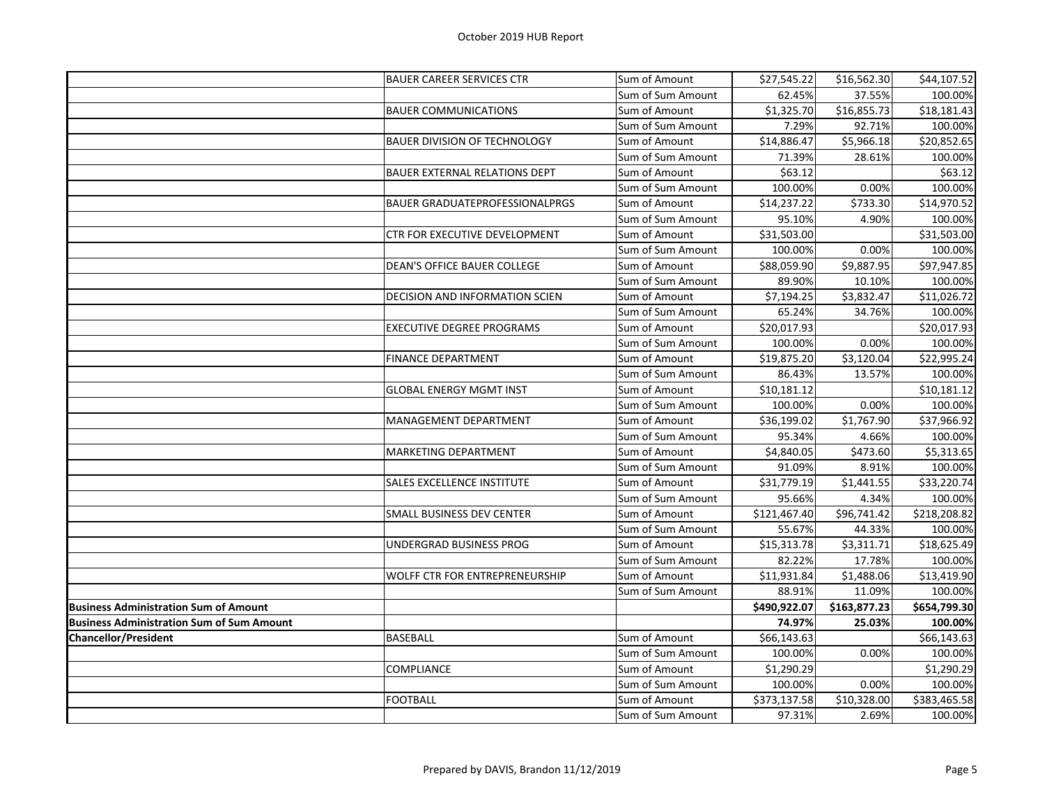|                                                  | <b>BAUER CAREER SERVICES CTR</b>      | Sum of Amount     | \$27,545.22  | \$16,562.30  | \$44,107.52  |
|--------------------------------------------------|---------------------------------------|-------------------|--------------|--------------|--------------|
|                                                  |                                       | Sum of Sum Amount | 62.45%       | 37.55%       | 100.00%      |
|                                                  | <b>BAUER COMMUNICATIONS</b>           | Sum of Amount     | \$1,325.70   | \$16,855.73  | \$18,181.43  |
|                                                  |                                       | Sum of Sum Amount | 7.29%        | 92.71%       | 100.00%      |
|                                                  | <b>BAUER DIVISION OF TECHNOLOGY</b>   | Sum of Amount     | \$14,886.47  | \$5,966.18   | \$20,852.65  |
|                                                  |                                       | Sum of Sum Amount | 71.39%       | 28.61%       | 100.00%      |
|                                                  | <b>BAUER EXTERNAL RELATIONS DEPT</b>  | Sum of Amount     | \$63.12      |              | \$63.12      |
|                                                  |                                       | Sum of Sum Amount | 100.00%      | 0.00%        | 100.00%      |
|                                                  | <b>BAUER GRADUATEPROFESSIONALPRGS</b> | Sum of Amount     | \$14,237.22  | \$733.30     | \$14,970.52  |
|                                                  |                                       | Sum of Sum Amount | 95.10%       | 4.90%        | 100.00%      |
|                                                  | CTR FOR EXECUTIVE DEVELOPMENT         | Sum of Amount     | \$31,503.00  |              | \$31,503.00  |
|                                                  |                                       | Sum of Sum Amount | 100.00%      | 0.00%        | 100.00%      |
|                                                  | DEAN'S OFFICE BAUER COLLEGE           | Sum of Amount     | \$88,059.90  | \$9,887.95   | \$97,947.85  |
|                                                  |                                       | Sum of Sum Amount | 89.90%       | 10.10%       | 100.00%      |
|                                                  | DECISION AND INFORMATION SCIEN        | Sum of Amount     | \$7,194.25   | \$3,832.47   | \$11,026.72  |
|                                                  |                                       | Sum of Sum Amount | 65.24%       | 34.76%       | 100.00%      |
|                                                  | <b>EXECUTIVE DEGREE PROGRAMS</b>      | Sum of Amount     | \$20,017.93  |              | \$20,017.93  |
|                                                  |                                       | Sum of Sum Amount | 100.00%      | 0.00%        | 100.00%      |
|                                                  | <b>FINANCE DEPARTMENT</b>             | Sum of Amount     | \$19,875.20  | \$3,120.04   | \$22,995.24  |
|                                                  |                                       | Sum of Sum Amount | 86.43%       | 13.57%       | 100.00%      |
|                                                  | <b>GLOBAL ENERGY MGMT INST</b>        | Sum of Amount     | \$10,181.12  |              | \$10,181.12  |
|                                                  |                                       | Sum of Sum Amount | 100.00%      | 0.00%        | 100.00%      |
|                                                  | MANAGEMENT DEPARTMENT                 | Sum of Amount     | \$36,199.02  | \$1,767.90   | \$37,966.92  |
|                                                  |                                       | Sum of Sum Amount | 95.34%       | 4.66%        | 100.00%      |
|                                                  | MARKETING DEPARTMENT                  | Sum of Amount     | \$4,840.05   | \$473.60     | \$5,313.65   |
|                                                  |                                       | Sum of Sum Amount | 91.09%       | 8.91%        | 100.00%      |
|                                                  | SALES EXCELLENCE INSTITUTE            | Sum of Amount     | \$31,779.19  | \$1,441.55   | \$33,220.74  |
|                                                  |                                       | Sum of Sum Amount | 95.66%       | 4.34%        | 100.00%      |
|                                                  | <b>SMALL BUSINESS DEV CENTER</b>      | Sum of Amount     | \$121,467.40 | \$96,741.42  | \$218,208.82 |
|                                                  |                                       | Sum of Sum Amount | 55.67%       | 44.33%       | 100.00%      |
|                                                  | UNDERGRAD BUSINESS PROG               | Sum of Amount     | \$15,313.78  | \$3,311.71   | \$18,625.49  |
|                                                  |                                       | Sum of Sum Amount | 82.22%       | 17.78%       | 100.00%      |
|                                                  | WOLFF CTR FOR ENTREPRENEURSHIP        | Sum of Amount     | \$11,931.84  | \$1,488.06   | \$13,419.90  |
|                                                  |                                       | Sum of Sum Amount | 88.91%       | 11.09%       | 100.00%      |
| <b>Business Administration Sum of Amount</b>     |                                       |                   | \$490,922.07 | \$163,877.23 | \$654,799.30 |
| <b>Business Administration Sum of Sum Amount</b> |                                       |                   | 74.97%       | 25.03%       | 100.00%      |
| <b>Chancellor/President</b>                      | <b>BASEBALL</b>                       | Sum of Amount     | \$66,143.63  |              | \$66,143.63  |
|                                                  |                                       | Sum of Sum Amount | 100.00%      | 0.00%        | 100.00%      |
|                                                  | COMPLIANCE                            | Sum of Amount     | \$1,290.29   |              | \$1,290.29   |
|                                                  |                                       | Sum of Sum Amount | 100.00%      | 0.00%        | 100.00%      |
|                                                  | <b>FOOTBALL</b>                       | Sum of Amount     | \$373,137.58 | \$10,328.00  | \$383,465.58 |
|                                                  |                                       | Sum of Sum Amount | 97.31%       | 2.69%        | 100.00%      |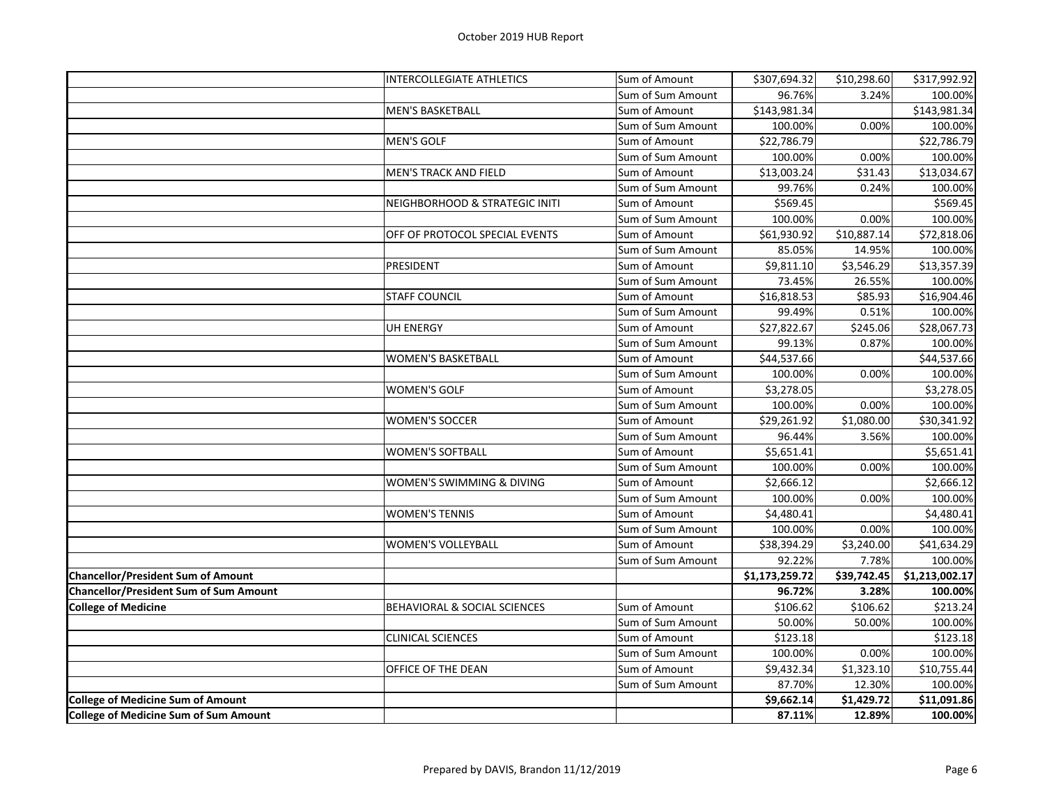|                                               | <b>INTERCOLLEGIATE ATHLETICS</b> | Sum of Amount     | \$307,694.32   | \$10,298.60 | \$317,992.92   |
|-----------------------------------------------|----------------------------------|-------------------|----------------|-------------|----------------|
|                                               |                                  | Sum of Sum Amount | 96.76%         | 3.24%       | 100.00%        |
|                                               | <b>MEN'S BASKETBALL</b>          | Sum of Amount     | \$143,981.34   |             | \$143,981.34   |
|                                               |                                  | Sum of Sum Amount | 100.00%        | 0.00%       | 100.00%        |
|                                               | <b>MEN'S GOLF</b>                | Sum of Amount     | \$22,786.79    |             | \$22,786.79    |
|                                               |                                  | Sum of Sum Amount | 100.00%        | 0.00%       | 100.00%        |
|                                               | <b>MEN'S TRACK AND FIELD</b>     | Sum of Amount     | \$13,003.24    | \$31.43     | \$13,034.67    |
|                                               |                                  | Sum of Sum Amount | 99.76%         | 0.24%       | 100.00%        |
|                                               | NEIGHBORHOOD & STRATEGIC INITI   | Sum of Amount     | \$569.45       |             | \$569.45       |
|                                               |                                  | Sum of Sum Amount | 100.00%        | 0.00%       | 100.00%        |
|                                               | OFF OF PROTOCOL SPECIAL EVENTS   | Sum of Amount     | \$61,930.92    | \$10,887.14 | \$72,818.06    |
|                                               |                                  | Sum of Sum Amount | 85.05%         | 14.95%      | 100.00%        |
|                                               | PRESIDENT                        | Sum of Amount     | \$9,811.10     | \$3,546.29  | \$13,357.39    |
|                                               |                                  | Sum of Sum Amount | 73.45%         | 26.55%      | 100.00%        |
|                                               | <b>STAFF COUNCIL</b>             | Sum of Amount     | \$16,818.53    | \$85.93     | \$16,904.46    |
|                                               |                                  | Sum of Sum Amount | 99.49%         | 0.51%       | 100.00%        |
|                                               | UH ENERGY                        | Sum of Amount     | \$27,822.67    | \$245.06    | \$28,067.73    |
|                                               |                                  | Sum of Sum Amount | 99.13%         | 0.87%       | 100.00%        |
|                                               | <b>WOMEN'S BASKETBALL</b>        | Sum of Amount     | \$44,537.66    |             | \$44,537.66    |
|                                               |                                  | Sum of Sum Amount | 100.00%        | 0.00%       | 100.00%        |
|                                               | <b>WOMEN'S GOLF</b>              | Sum of Amount     | \$3,278.05     |             | \$3,278.05     |
|                                               |                                  | Sum of Sum Amount | 100.00%        | 0.00%       | 100.00%        |
|                                               | <b>WOMEN'S SOCCER</b>            | Sum of Amount     | \$29,261.92    | \$1,080.00  | \$30,341.92    |
|                                               |                                  | Sum of Sum Amount | 96.44%         | 3.56%       | 100.00%        |
|                                               | <b>WOMEN'S SOFTBALL</b>          | Sum of Amount     | \$5,651.41     |             | \$5,651.41     |
|                                               |                                  | Sum of Sum Amount | 100.00%        | 0.00%       | 100.00%        |
|                                               | WOMEN'S SWIMMING & DIVING        | Sum of Amount     | \$2,666.12     |             | \$2,666.12     |
|                                               |                                  | Sum of Sum Amount | 100.00%        | 0.00%       | 100.00%        |
|                                               | <b>WOMEN'S TENNIS</b>            | Sum of Amount     | \$4,480.41     |             | \$4,480.41     |
|                                               |                                  | Sum of Sum Amount | 100.00%        | 0.00%       | 100.00%        |
|                                               | <b>WOMEN'S VOLLEYBALL</b>        | Sum of Amount     | \$38,394.29    | \$3,240.00  | \$41,634.29    |
|                                               |                                  | Sum of Sum Amount | 92.22%         | 7.78%       | 100.00%        |
| <b>Chancellor/President Sum of Amount</b>     |                                  |                   | \$1,173,259.72 | \$39,742.45 | \$1,213,002.17 |
| <b>Chancellor/President Sum of Sum Amount</b> |                                  |                   | 96.72%         | 3.28%       | 100.00%        |
| <b>College of Medicine</b>                    | BEHAVIORAL & SOCIAL SCIENCES     | Sum of Amount     | \$106.62       | \$106.62    | \$213.24       |
|                                               |                                  | Sum of Sum Amount | 50.00%         | 50.00%      | 100.00%        |
|                                               | <b>CLINICAL SCIENCES</b>         | Sum of Amount     | \$123.18       |             | \$123.18       |
|                                               |                                  | Sum of Sum Amount | 100.00%        | 0.00%       | 100.00%        |
|                                               | OFFICE OF THE DEAN               | Sum of Amount     | \$9,432.34     | \$1,323.10  | \$10,755.44    |
|                                               |                                  | Sum of Sum Amount | 87.70%         | 12.30%      | 100.00%        |
| <b>College of Medicine Sum of Amount</b>      |                                  |                   | \$9,662.14     | \$1,429.72  | \$11,091.86    |
| <b>College of Medicine Sum of Sum Amount</b>  |                                  |                   | 87.11%         | 12.89%      | 100.00%        |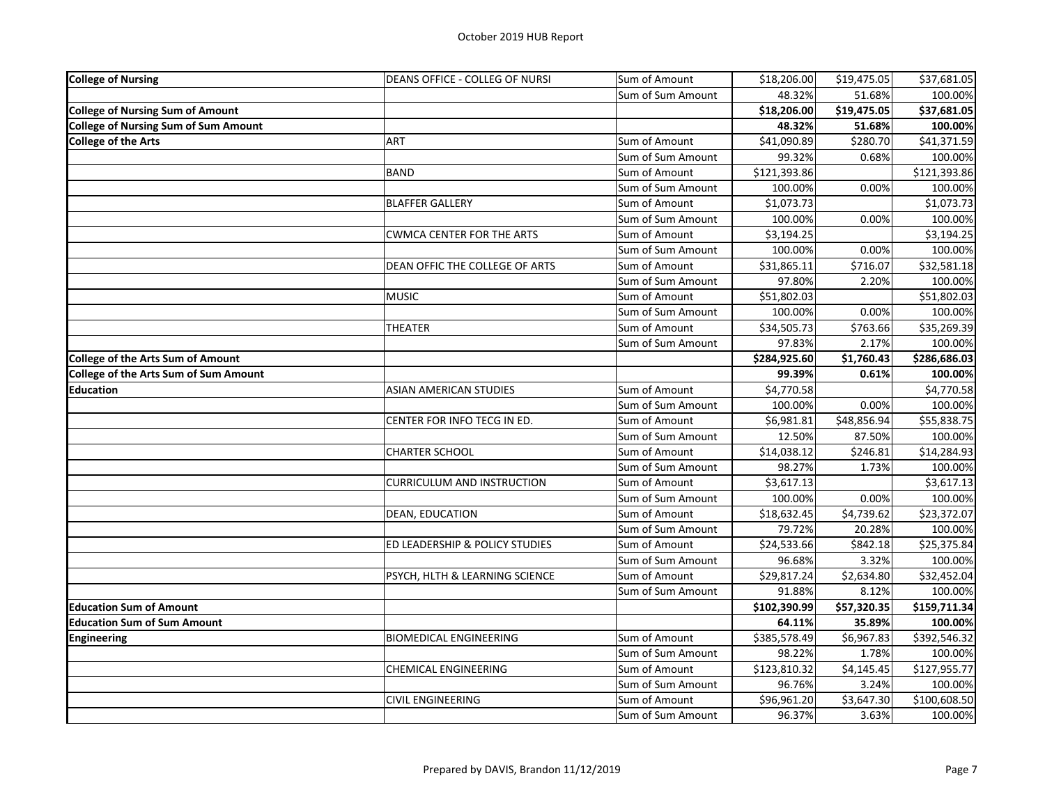| <b>College of Nursing</b>                   | DEANS OFFICE - COLLEG OF NURSI    | Sum of Amount     | \$18,206.00             | \$19,475.05 | \$37,681.05  |
|---------------------------------------------|-----------------------------------|-------------------|-------------------------|-------------|--------------|
|                                             |                                   | Sum of Sum Amount | 48.32%                  | 51.68%      | 100.00%      |
| <b>College of Nursing Sum of Amount</b>     |                                   |                   | \$18,206.00             | \$19,475.05 | \$37,681.05  |
| <b>College of Nursing Sum of Sum Amount</b> |                                   |                   | 48.32%                  | 51.68%      | 100.00%      |
| <b>College of the Arts</b>                  | ART                               | Sum of Amount     | $\overline{$}41,090.89$ | \$280.70    | \$41,371.59  |
|                                             |                                   | Sum of Sum Amount | 99.32%                  | 0.68%       | 100.00%      |
|                                             | <b>BAND</b>                       | Sum of Amount     | \$121,393.86            |             | \$121,393.86 |
|                                             |                                   | Sum of Sum Amount | 100.00%                 | 0.00%       | 100.00%      |
|                                             | <b>BLAFFER GALLERY</b>            | Sum of Amount     | \$1,073.73              |             | \$1,073.73   |
|                                             |                                   | Sum of Sum Amount | 100.00%                 | 0.00%       | 100.00%      |
|                                             | <b>CWMCA CENTER FOR THE ARTS</b>  | Sum of Amount     | \$3,194.25              |             | \$3,194.25   |
|                                             |                                   | Sum of Sum Amount | 100.00%                 | 0.00%       | 100.00%      |
|                                             | DEAN OFFIC THE COLLEGE OF ARTS    | Sum of Amount     | \$31,865.11             | \$716.07    | \$32,581.18  |
|                                             |                                   | Sum of Sum Amount | 97.80%                  | 2.20%       | 100.00%      |
|                                             | <b>MUSIC</b>                      | Sum of Amount     | \$51,802.03             |             | \$51,802.03  |
|                                             |                                   | Sum of Sum Amount | 100.00%                 | 0.00%       | 100.00%      |
|                                             | <b>THEATER</b>                    | Sum of Amount     | \$34,505.73             | \$763.66    | \$35,269.39  |
|                                             |                                   | Sum of Sum Amount | 97.83%                  | 2.17%       | 100.00%      |
| <b>College of the Arts Sum of Amount</b>    |                                   |                   | \$284,925.60            | \$1,760.43  | \$286,686.03 |
| College of the Arts Sum of Sum Amount       |                                   |                   | 99.39%                  | 0.61%       | 100.00%      |
| <b>Education</b>                            | <b>ASIAN AMERICAN STUDIES</b>     | Sum of Amount     | \$4,770.58              |             | \$4,770.58   |
|                                             |                                   | Sum of Sum Amount | 100.00%                 | 0.00%       | 100.00%      |
|                                             | CENTER FOR INFO TECG IN ED.       | Sum of Amount     | \$6,981.81              | \$48,856.94 | \$55,838.75  |
|                                             |                                   | Sum of Sum Amount | 12.50%                  | 87.50%      | 100.00%      |
|                                             | <b>CHARTER SCHOOL</b>             | Sum of Amount     | \$14,038.12             | \$246.81    | \$14,284.93  |
|                                             |                                   | Sum of Sum Amount | 98.27%                  | 1.73%       | 100.00%      |
|                                             | <b>CURRICULUM AND INSTRUCTION</b> | Sum of Amount     | \$3,617.13              |             | \$3,617.13   |
|                                             |                                   | Sum of Sum Amount | 100.00%                 | 0.00%       | 100.00%      |
|                                             | DEAN, EDUCATION                   | Sum of Amount     | \$18,632.45             | \$4,739.62  | \$23,372.07  |
|                                             |                                   | Sum of Sum Amount | 79.72%                  | 20.28%      | 100.00%      |
|                                             | ED LEADERSHIP & POLICY STUDIES    | Sum of Amount     | \$24,533.66             | \$842.18    | \$25,375.84  |
|                                             |                                   | Sum of Sum Amount | 96.68%                  | 3.32%       | 100.00%      |
|                                             | PSYCH, HLTH & LEARNING SCIENCE    | Sum of Amount     | \$29,817.24             | \$2,634.80  | \$32,452.04  |
|                                             |                                   | Sum of Sum Amount | 91.88%                  | 8.12%       | 100.00%      |
| <b>Education Sum of Amount</b>              |                                   |                   | \$102,390.99            | \$57,320.35 | \$159,711.34 |
| <b>Education Sum of Sum Amount</b>          |                                   |                   | 64.11%                  | 35.89%      | 100.00%      |
| <b>Engineering</b>                          | <b>BIOMEDICAL ENGINEERING</b>     | Sum of Amount     | \$385,578.49            | \$6,967.83  | \$392,546.32 |
|                                             |                                   | Sum of Sum Amount | 98.22%                  | 1.78%       | 100.00%      |
|                                             | <b>CHEMICAL ENGINEERING</b>       | Sum of Amount     | \$123,810.32            | \$4,145.45  | \$127,955.77 |
|                                             |                                   | Sum of Sum Amount | 96.76%                  | 3.24%       | 100.00%      |
|                                             | CIVIL ENGINEERING                 | Sum of Amount     | \$96,961.20             | \$3,647.30  | \$100,608.50 |
|                                             |                                   | Sum of Sum Amount | 96.37%                  | 3.63%       | 100.00%      |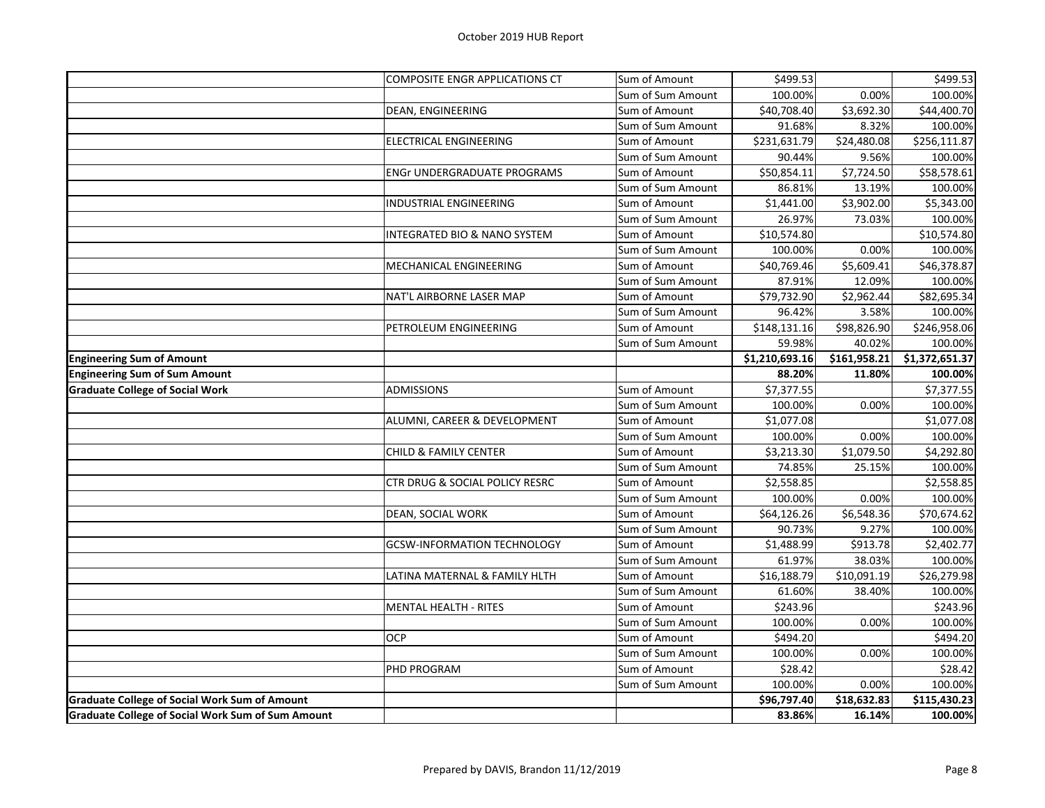|                                                          | <b>COMPOSITE ENGR APPLICATIONS CT</b>   | Sum of Amount     | \$499.53                   |                        | \$499.53       |
|----------------------------------------------------------|-----------------------------------------|-------------------|----------------------------|------------------------|----------------|
|                                                          |                                         | Sum of Sum Amount | 100.00%                    | 0.00%                  | 100.00%        |
|                                                          | DEAN, ENGINEERING                       | Sum of Amount     | \$40,708.40                | $\overline{$}3,692.30$ | \$44,400.70    |
|                                                          |                                         | Sum of Sum Amount | 91.68%                     | 8.32%                  | 100.00%        |
|                                                          | ELECTRICAL ENGINEERING                  | Sum of Amount     | \$231,631.79               | \$24,480.08            | \$256,111.87   |
|                                                          |                                         | Sum of Sum Amount | 90.44%                     | 9.56%                  | 100.00%        |
|                                                          | <b>ENGr UNDERGRADUATE PROGRAMS</b>      | Sum of Amount     | \$50,854.11                | \$7,724.50             | \$58,578.61    |
|                                                          |                                         | Sum of Sum Amount | 86.81%                     | 13.19%                 | 100.00%        |
|                                                          | INDUSTRIAL ENGINEERING                  | Sum of Amount     | \$1,441.00                 | \$3,902.00             | \$5,343.00     |
|                                                          |                                         | Sum of Sum Amount | 26.97%                     | 73.03%                 | 100.00%        |
|                                                          | <b>INTEGRATED BIO &amp; NANO SYSTEM</b> | Sum of Amount     | \$10,574.80                |                        | \$10,574.80    |
|                                                          |                                         | Sum of Sum Amount | 100.00%                    | 0.00%                  | 100.00%        |
|                                                          | MECHANICAL ENGINEERING                  | Sum of Amount     | \$40,769.46                | \$5,609.41             | \$46,378.87    |
|                                                          |                                         | Sum of Sum Amount | 87.91%                     | 12.09%                 | 100.00%        |
|                                                          | NAT'L AIRBORNE LASER MAP                | Sum of Amount     | \$79,732.90                | \$2,962.44             | \$82,695.34    |
|                                                          |                                         | Sum of Sum Amount | 96.42%                     | 3.58%                  | 100.00%        |
|                                                          | PETROLEUM ENGINEERING                   | Sum of Amount     | \$148,131.16               | \$98,826.90            | \$246,958.06   |
|                                                          |                                         | Sum of Sum Amount | 59.98%                     | 40.02%                 | 100.00%        |
| <b>Engineering Sum of Amount</b>                         |                                         |                   | $\overline{51,}210,693.16$ | \$161,958.21           | \$1,372,651.37 |
| <b>Engineering Sum of Sum Amount</b>                     |                                         |                   | 88.20%                     | 11.80%                 | 100.00%        |
| <b>Graduate College of Social Work</b>                   | <b>ADMISSIONS</b>                       | Sum of Amount     | \$7,377.55                 |                        | \$7,377.55     |
|                                                          |                                         | Sum of Sum Amount | 100.00%                    | 0.00%                  | 100.00%        |
|                                                          | ALUMNI, CAREER & DEVELOPMENT            | Sum of Amount     | \$1,077.08                 |                        | \$1,077.08     |
|                                                          |                                         | Sum of Sum Amount | 100.00%                    | 0.00%                  | 100.00%        |
|                                                          | <b>CHILD &amp; FAMILY CENTER</b>        | Sum of Amount     | \$3,213.30                 | \$1,079.50             | \$4,292.80     |
|                                                          |                                         | Sum of Sum Amount | 74.85%                     | 25.15%                 | 100.00%        |
|                                                          | CTR DRUG & SOCIAL POLICY RESRC          | Sum of Amount     | \$2,558.85                 |                        | \$2,558.85     |
|                                                          |                                         | Sum of Sum Amount | 100.00%                    | 0.00%                  | 100.00%        |
|                                                          | DEAN, SOCIAL WORK                       | Sum of Amount     | \$64,126.26                | \$6,548.36             | \$70,674.62    |
|                                                          |                                         | Sum of Sum Amount | 90.73%                     | 9.27%                  | 100.00%        |
|                                                          | <b>GCSW-INFORMATION TECHNOLOGY</b>      | Sum of Amount     | \$1,488.99                 | \$913.78               | \$2,402.77     |
|                                                          |                                         | Sum of Sum Amount | 61.97%                     | 38.03%                 | 100.00%        |
|                                                          | LATINA MATERNAL & FAMILY HLTH           | Sum of Amount     | \$16,188.79                | \$10,091.19            | \$26,279.98    |
|                                                          |                                         | Sum of Sum Amount | 61.60%                     | 38.40%                 | 100.00%        |
|                                                          | <b>MENTAL HEALTH - RITES</b>            | Sum of Amount     | \$243.96                   |                        | \$243.96       |
|                                                          |                                         | Sum of Sum Amount | 100.00%                    | 0.00%                  | 100.00%        |
|                                                          | <b>OCP</b>                              | Sum of Amount     | \$494.20                   |                        | \$494.20       |
|                                                          |                                         | Sum of Sum Amount | 100.00%                    | 0.00%                  | 100.00%        |
|                                                          | PHD PROGRAM                             | Sum of Amount     | \$28.42                    |                        | \$28.42        |
|                                                          |                                         | Sum of Sum Amount | 100.00%                    | 0.00%                  | 100.00%        |
| <b>Graduate College of Social Work Sum of Amount</b>     |                                         |                   | \$96,797.40                | \$18,632.83            | \$115,430.23   |
| <b>Graduate College of Social Work Sum of Sum Amount</b> |                                         |                   | 83.86%                     | 16.14%                 | 100.00%        |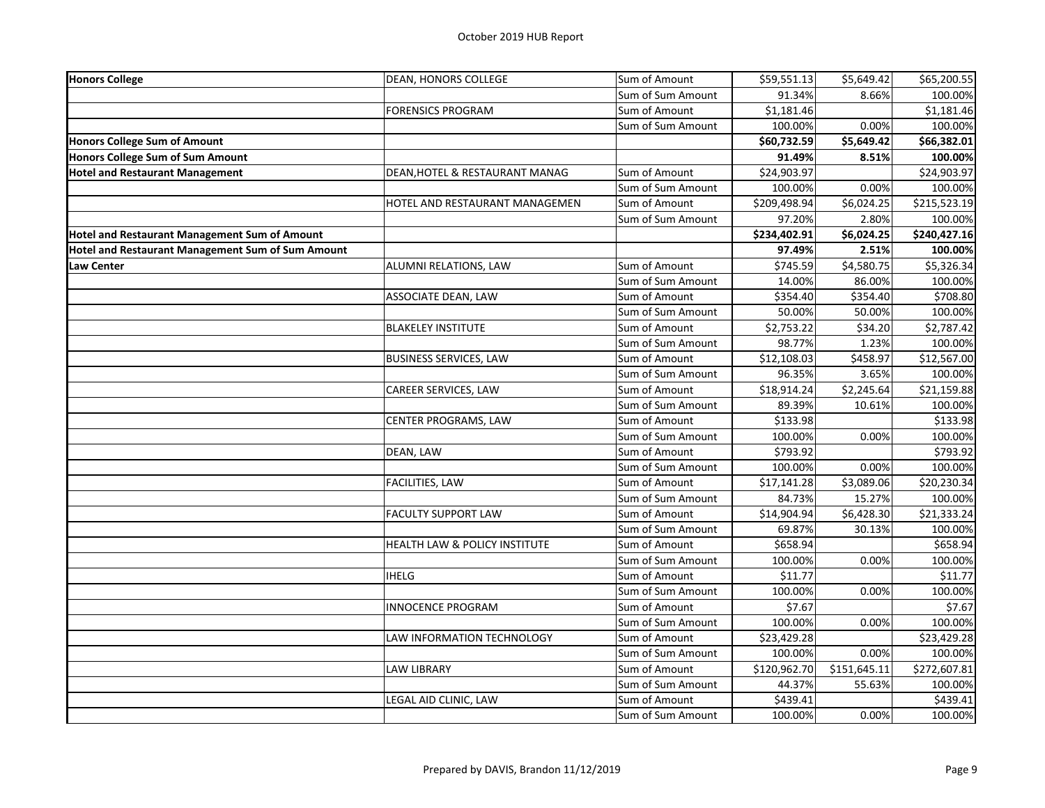| <b>Honors College</b>                             | DEAN, HONORS COLLEGE           | Sum of Amount     | \$59,551.13  | \$5,649.42             | \$65,200.55          |
|---------------------------------------------------|--------------------------------|-------------------|--------------|------------------------|----------------------|
|                                                   |                                | Sum of Sum Amount | 91.34%       | 8.66%                  | 100.00%              |
|                                                   | <b>FORENSICS PROGRAM</b>       | Sum of Amount     | \$1,181.46   |                        | \$1,181.46           |
|                                                   |                                | Sum of Sum Amount | 100.00%      | 0.00%                  | 100.00%              |
| <b>Honors College Sum of Amount</b>               |                                |                   | \$60,732.59  | $\overline{$}5,649.42$ | \$66,382.01          |
| <b>Honors College Sum of Sum Amount</b>           |                                |                   | 91.49%       | 8.51%                  | 100.00%              |
| <b>Hotel and Restaurant Management</b>            | DEAN, HOTEL & RESTAURANT MANAG | Sum of Amount     | \$24,903.97  |                        | \$24,903.97          |
|                                                   |                                | Sum of Sum Amount | 100.00%      | 0.00%                  | 100.00%              |
|                                                   | HOTEL AND RESTAURANT MANAGEMEN | Sum of Amount     | \$209,498.94 | \$6,024.25             | \$215,523.19         |
|                                                   |                                | Sum of Sum Amount | 97.20%       | 2.80%                  | 100.00%              |
| Hotel and Restaurant Management Sum of Amount     |                                |                   | \$234,402.91 | \$6,024.25             | \$240,427.16         |
| Hotel and Restaurant Management Sum of Sum Amount |                                |                   | 97.49%       | 2.51%                  | 100.00%              |
| <b>Law Center</b>                                 | ALUMNI RELATIONS, LAW          | Sum of Amount     | \$745.59     | \$4,580.75             | \$5,326.34           |
|                                                   |                                | Sum of Sum Amount | 14.00%       | 86.00%                 | 100.00%              |
|                                                   | ASSOCIATE DEAN, LAW            | Sum of Amount     | \$354.40     | \$354.40               | $\overline{$}708.80$ |
|                                                   |                                | Sum of Sum Amount | 50.00%       | 50.00%                 | 100.00%              |
|                                                   | <b>BLAKELEY INSTITUTE</b>      | Sum of Amount     | \$2,753.22   | \$34.20                | \$2,787.42           |
|                                                   |                                | Sum of Sum Amount | 98.77%       | 1.23%                  | 100.00%              |
|                                                   | <b>BUSINESS SERVICES, LAW</b>  | Sum of Amount     | \$12,108.03  | \$458.97               | \$12,567.00          |
|                                                   |                                | Sum of Sum Amount | 96.35%       | 3.65%                  | 100.00%              |
|                                                   | CAREER SERVICES, LAW           | Sum of Amount     | \$18,914.24  | \$2,245.64             | \$21,159.88          |
|                                                   |                                | Sum of Sum Amount | 89.39%       | 10.61%                 | 100.00%              |
|                                                   | CENTER PROGRAMS, LAW           | Sum of Amount     | \$133.98     |                        | \$133.98             |
|                                                   |                                | Sum of Sum Amount | 100.00%      | 0.00%                  | 100.00%              |
|                                                   | DEAN, LAW                      | Sum of Amount     | \$793.92     |                        | \$793.92             |
|                                                   |                                | Sum of Sum Amount | 100.00%      | 0.00%                  | 100.00%              |
|                                                   | <b>FACILITIES, LAW</b>         | Sum of Amount     | \$17,141.28  | \$3,089.06             | \$20,230.34          |
|                                                   |                                | Sum of Sum Amount | 84.73%       | 15.27%                 | 100.00%              |
|                                                   | <b>FACULTY SUPPORT LAW</b>     | Sum of Amount     | \$14,904.94  | \$6,428.30             | \$21,333.24          |
|                                                   |                                | Sum of Sum Amount | 69.87%       | 30.13%                 | 100.00%              |
|                                                   | HEALTH LAW & POLICY INSTITUTE  | Sum of Amount     | \$658.94     |                        | \$658.94             |
|                                                   |                                | Sum of Sum Amount | 100.00%      | 0.00%                  | 100.00%              |
|                                                   | <b>IHELG</b>                   | Sum of Amount     | \$11.77      |                        | \$11.77              |
|                                                   |                                | Sum of Sum Amount | 100.00%      | 0.00%                  | 100.00%              |
|                                                   | <b>INNOCENCE PROGRAM</b>       | Sum of Amount     | \$7.67       |                        | \$7.67               |
|                                                   |                                | Sum of Sum Amount | 100.00%      | 0.00%                  | 100.00%              |
|                                                   | LAW INFORMATION TECHNOLOGY     | Sum of Amount     | \$23,429.28  |                        | \$23,429.28          |
|                                                   |                                | Sum of Sum Amount | 100.00%      | 0.00%                  | 100.00%              |
|                                                   | LAW LIBRARY                    | Sum of Amount     | \$120,962.70 | \$151,645.11           | \$272,607.81         |
|                                                   |                                | Sum of Sum Amount | 44.37%       | 55.63%                 | 100.00%              |
|                                                   | LEGAL AID CLINIC, LAW          | Sum of Amount     | \$439.41     |                        | \$439.41             |
|                                                   |                                | Sum of Sum Amount | 100.00%      | 0.00%                  | 100.00%              |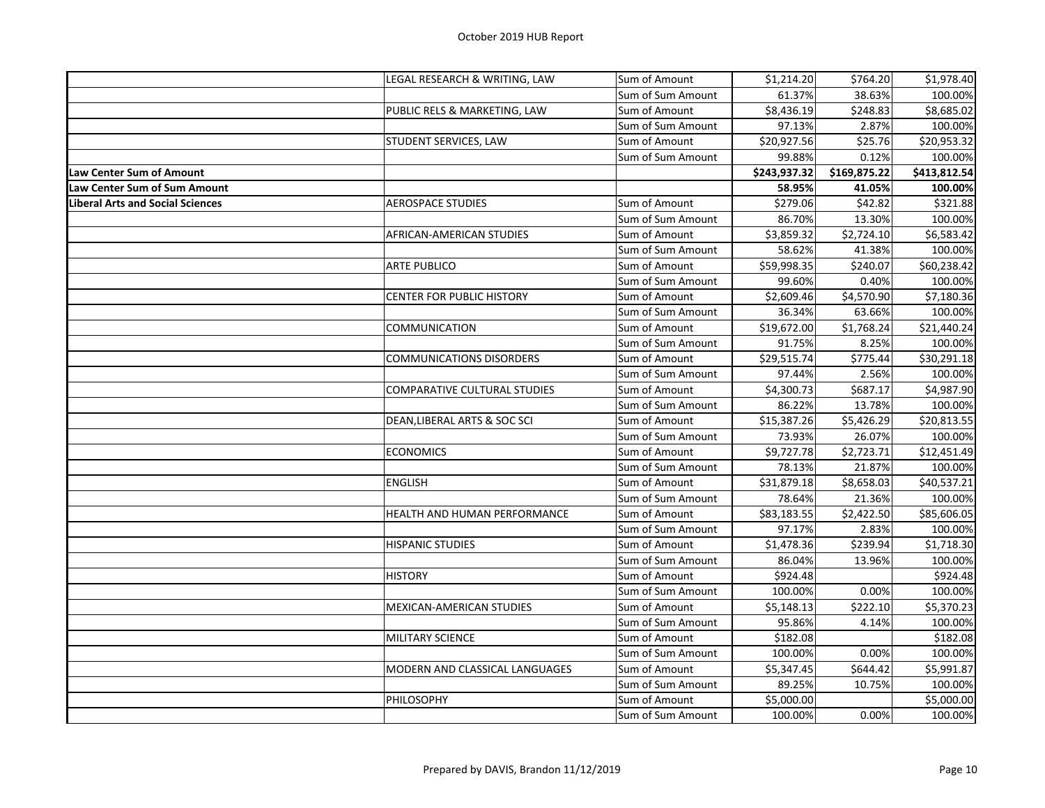|                                         | LEGAL RESEARCH & WRITING, LAW       | Sum of Amount     | \$1,214.20   | \$764.20     | \$1,978.40   |
|-----------------------------------------|-------------------------------------|-------------------|--------------|--------------|--------------|
|                                         |                                     | Sum of Sum Amount | 61.37%       | 38.63%       | 100.00%      |
|                                         | PUBLIC RELS & MARKETING, LAW        | Sum of Amount     | \$8,436.19   | \$248.83     | \$8,685.02   |
|                                         |                                     | Sum of Sum Amount | 97.13%       | 2.87%        | 100.00%      |
|                                         | STUDENT SERVICES, LAW               | Sum of Amount     | \$20,927.56  | \$25.76      | \$20,953.32  |
|                                         |                                     | Sum of Sum Amount | 99.88%       | 0.12%        | 100.00%      |
| Law Center Sum of Amount                |                                     |                   | \$243,937.32 | \$169,875.22 | \$413,812.54 |
| Law Center Sum of Sum Amount            |                                     |                   | 58.95%       | 41.05%       | 100.00%      |
| <b>Liberal Arts and Social Sciences</b> | <b>AEROSPACE STUDIES</b>            | Sum of Amount     | \$279.06     | \$42.82      | \$321.88     |
|                                         |                                     | Sum of Sum Amount | 86.70%       | 13.30%       | 100.00%      |
|                                         | AFRICAN-AMERICAN STUDIES            | Sum of Amount     | \$3,859.32   | \$2,724.10   | \$6,583.42   |
|                                         |                                     | Sum of Sum Amount | 58.62%       | 41.38%       | 100.00%      |
|                                         | <b>ARTE PUBLICO</b>                 | Sum of Amount     | \$59,998.35  | \$240.07     | \$60,238.42  |
|                                         |                                     | Sum of Sum Amount | 99.60%       | 0.40%        | 100.00%      |
|                                         | CENTER FOR PUBLIC HISTORY           | Sum of Amount     | \$2,609.46   | \$4,570.90   | \$7,180.36   |
|                                         |                                     | Sum of Sum Amount | 36.34%       | 63.66%       | 100.00%      |
|                                         | COMMUNICATION                       | Sum of Amount     | \$19,672.00  | \$1,768.24   | \$21,440.24  |
|                                         |                                     | Sum of Sum Amount | 91.75%       | 8.25%        | 100.00%      |
|                                         | <b>COMMUNICATIONS DISORDERS</b>     | Sum of Amount     | \$29,515.74  | \$775.44     | \$30,291.18  |
|                                         |                                     | Sum of Sum Amount | 97.44%       | 2.56%        | 100.00%      |
|                                         | COMPARATIVE CULTURAL STUDIES        | Sum of Amount     | \$4,300.73   | \$687.17     | \$4,987.90   |
|                                         |                                     | Sum of Sum Amount | 86.22%       | 13.78%       | 100.00%      |
|                                         | DEAN, LIBERAL ARTS & SOC SCI        | Sum of Amount     | \$15,387.26  | \$5,426.29   | \$20,813.55  |
|                                         |                                     | Sum of Sum Amount | 73.93%       | 26.07%       | 100.00%      |
|                                         | <b>ECONOMICS</b>                    | Sum of Amount     | \$9,727.78   | \$2,723.71   | \$12,451.49  |
|                                         |                                     | Sum of Sum Amount | 78.13%       | 21.87%       | 100.00%      |
|                                         | <b>ENGLISH</b>                      | Sum of Amount     | \$31,879.18  | \$8,658.03   | \$40,537.21  |
|                                         |                                     | Sum of Sum Amount | 78.64%       | 21.36%       | 100.00%      |
|                                         | <b>HEALTH AND HUMAN PERFORMANCE</b> | Sum of Amount     | \$83,183.55  | \$2,422.50   | \$85,606.05  |
|                                         |                                     | Sum of Sum Amount | 97.17%       | 2.83%        | 100.00%      |
|                                         | <b>HISPANIC STUDIES</b>             | Sum of Amount     | \$1,478.36   | \$239.94     | \$1,718.30   |
|                                         |                                     | Sum of Sum Amount | 86.04%       | 13.96%       | 100.00%      |
|                                         | <b>HISTORY</b>                      | Sum of Amount     | \$924.48     |              | \$924.48     |
|                                         |                                     | Sum of Sum Amount | 100.00%      | 0.00%        | 100.00%      |
|                                         | <b>MEXICAN-AMERICAN STUDIES</b>     | Sum of Amount     | \$5,148.13   | \$222.10     | \$5,370.23   |
|                                         |                                     | Sum of Sum Amount | 95.86%       | 4.14%        | 100.00%      |
|                                         | MILITARY SCIENCE                    | Sum of Amount     | \$182.08     |              | \$182.08     |
|                                         |                                     | Sum of Sum Amount | 100.00%      | 0.00%        | 100.00%      |
|                                         | MODERN AND CLASSICAL LANGUAGES      | Sum of Amount     | \$5,347.45   | \$644.42     | \$5,991.87   |
|                                         |                                     | Sum of Sum Amount | 89.25%       | 10.75%       | 100.00%      |
|                                         | <b>PHILOSOPHY</b>                   | Sum of Amount     | \$5,000.00   |              | \$5,000.00   |
|                                         |                                     | Sum of Sum Amount | 100.00%      | 0.00%        | 100.00%      |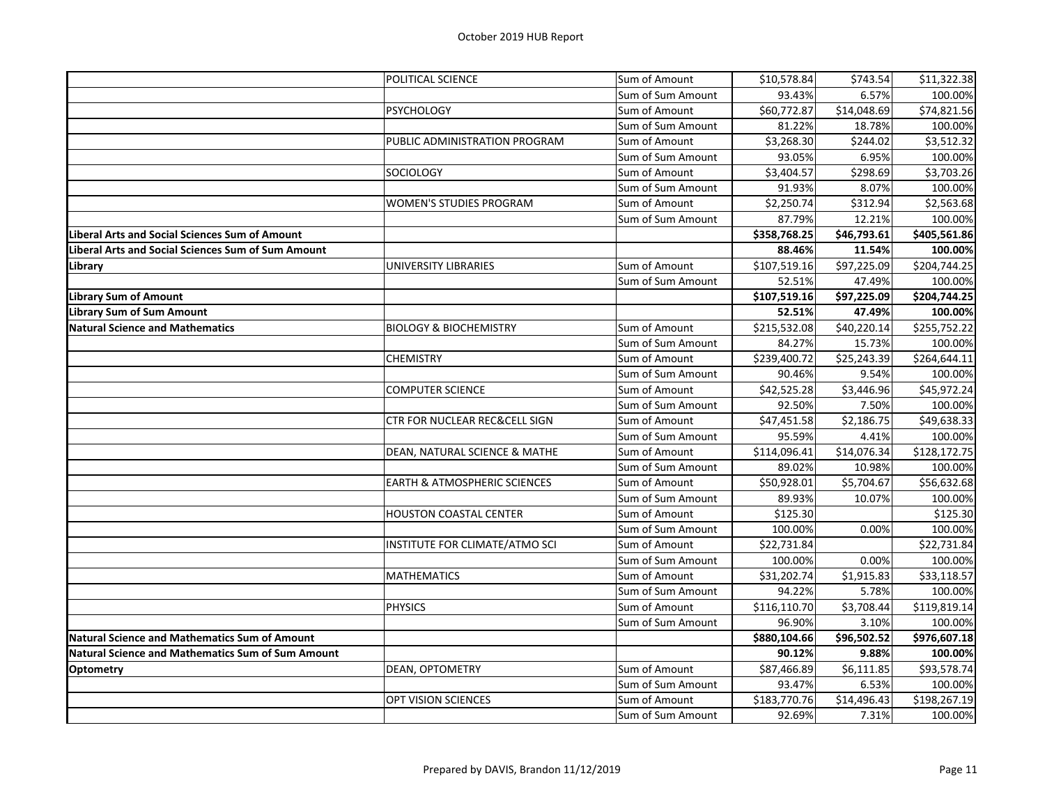|                                                          | POLITICAL SCIENCE                       | Sum of Amount     | \$10,578.84  | \$743.54    | \$11,322.38  |
|----------------------------------------------------------|-----------------------------------------|-------------------|--------------|-------------|--------------|
|                                                          |                                         | Sum of Sum Amount | 93.43%       | 6.57%       | 100.00%      |
|                                                          | <b>PSYCHOLOGY</b>                       | Sum of Amount     | \$60,772.87  | \$14,048.69 | \$74,821.56  |
|                                                          |                                         | Sum of Sum Amount | 81.22%       | 18.78%      | 100.00%      |
|                                                          | PUBLIC ADMINISTRATION PROGRAM           | Sum of Amount     | \$3,268.30   | \$244.02    | \$3,512.32   |
|                                                          |                                         | Sum of Sum Amount | 93.05%       | 6.95%       | 100.00%      |
|                                                          | <b>SOCIOLOGY</b>                        | Sum of Amount     | \$3,404.57   | \$298.69    | \$3,703.26   |
|                                                          |                                         | Sum of Sum Amount | 91.93%       | 8.07%       | 100.00%      |
|                                                          | WOMEN'S STUDIES PROGRAM                 | Sum of Amount     | \$2,250.74   | \$312.94    | \$2,563.68   |
|                                                          |                                         | Sum of Sum Amount | 87.79%       | 12.21%      | 100.00%      |
| Liberal Arts and Social Sciences Sum of Amount           |                                         |                   | \$358,768.25 | \$46,793.61 | \$405,561.86 |
| Liberal Arts and Social Sciences Sum of Sum Amount       |                                         |                   | 88.46%       | 11.54%      | 100.00%      |
| Library                                                  | UNIVERSITY LIBRARIES                    | Sum of Amount     | \$107,519.16 | \$97,225.09 | \$204,744.25 |
|                                                          |                                         | Sum of Sum Amount | 52.51%       | 47.49%      | 100.00%      |
| <b>Library Sum of Amount</b>                             |                                         |                   | \$107,519.16 | \$97,225.09 | \$204,744.25 |
| Library Sum of Sum Amount                                |                                         |                   | 52.51%       | 47.49%      | 100.00%      |
| <b>Natural Science and Mathematics</b>                   | <b>BIOLOGY &amp; BIOCHEMISTRY</b>       | Sum of Amount     | \$215,532.08 | \$40,220.14 | \$255,752.22 |
|                                                          |                                         | Sum of Sum Amount | 84.27%       | 15.73%      | 100.00%      |
|                                                          | <b>CHEMISTRY</b>                        | Sum of Amount     | \$239,400.72 | \$25,243.39 | \$264,644.11 |
|                                                          |                                         | Sum of Sum Amount | 90.46%       | 9.54%       | 100.00%      |
|                                                          | <b>COMPUTER SCIENCE</b>                 | Sum of Amount     | \$42,525.28  | \$3,446.96  | \$45,972.24  |
|                                                          |                                         | Sum of Sum Amount | 92.50%       | 7.50%       | 100.00%      |
|                                                          | CTR FOR NUCLEAR REC&CELL SIGN           | Sum of Amount     | \$47,451.58  | \$2,186.75  | \$49,638.33  |
|                                                          |                                         | Sum of Sum Amount | 95.59%       | 4.41%       | 100.00%      |
|                                                          | DEAN, NATURAL SCIENCE & MATHE           | Sum of Amount     | \$114,096.41 | \$14,076.34 | \$128,172.75 |
|                                                          |                                         | Sum of Sum Amount | 89.02%       | 10.98%      | 100.00%      |
|                                                          | <b>EARTH &amp; ATMOSPHERIC SCIENCES</b> | Sum of Amount     | \$50,928.01  | \$5,704.67  | \$56,632.68  |
|                                                          |                                         | Sum of Sum Amount | 89.93%       | 10.07%      | 100.00%      |
|                                                          | <b>HOUSTON COASTAL CENTER</b>           | Sum of Amount     | \$125.30     |             | \$125.30     |
|                                                          |                                         | Sum of Sum Amount | 100.00%      | 0.00%       | 100.00%      |
|                                                          | INSTITUTE FOR CLIMATE/ATMO SCI          | Sum of Amount     | \$22,731.84  |             | \$22,731.84  |
|                                                          |                                         | Sum of Sum Amount | 100.00%      | 0.00%       | 100.00%      |
|                                                          | <b>MATHEMATICS</b>                      | Sum of Amount     | \$31,202.74  | \$1,915.83  | \$33,118.57  |
|                                                          |                                         | Sum of Sum Amount | 94.22%       | 5.78%       | 100.00%      |
|                                                          | <b>PHYSICS</b>                          | Sum of Amount     | \$116,110.70 | \$3,708.44  | \$119,819.14 |
|                                                          |                                         | Sum of Sum Amount | 96.90%       | 3.10%       | 100.00%      |
| <b>Natural Science and Mathematics Sum of Amount</b>     |                                         |                   | \$880,104.66 | \$96,502.52 | \$976,607.18 |
| <b>Natural Science and Mathematics Sum of Sum Amount</b> |                                         |                   | 90.12%       | 9.88%       | 100.00%      |
| <b>Optometry</b>                                         | DEAN, OPTOMETRY                         | Sum of Amount     | \$87,466.89  | \$6,111.85  | \$93,578.74  |
|                                                          |                                         | Sum of Sum Amount | 93.47%       | 6.53%       | 100.00%      |
|                                                          | OPT VISION SCIENCES                     | Sum of Amount     | \$183,770.76 | \$14,496.43 | \$198,267.19 |
|                                                          |                                         | Sum of Sum Amount | 92.69%       | 7.31%       | 100.00%      |
|                                                          |                                         |                   |              |             |              |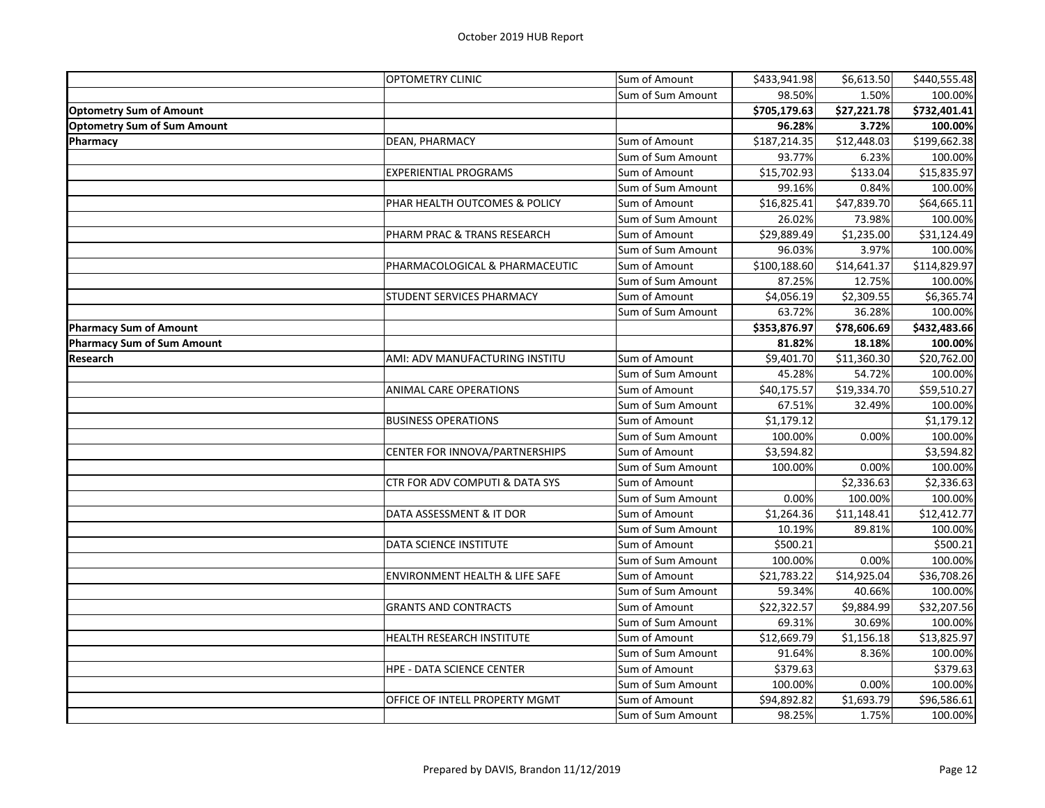|                                    | <b>OPTOMETRY CLINIC</b>                   | Sum of Amount     | \$433,941.98 | \$6,613.50              | \$440,555.48 |
|------------------------------------|-------------------------------------------|-------------------|--------------|-------------------------|--------------|
|                                    |                                           | Sum of Sum Amount | 98.50%       | 1.50%                   | 100.00%      |
| <b>Optometry Sum of Amount</b>     |                                           |                   | \$705,179.63 | \$27,221.78             | \$732,401.41 |
| <b>Optometry Sum of Sum Amount</b> |                                           |                   | 96.28%       | 3.72%                   | 100.00%      |
| <b>Pharmacy</b>                    | DEAN, PHARMACY                            | Sum of Amount     | \$187,214.35 | $\overline{$}12,448.03$ | \$199,662.38 |
|                                    |                                           | Sum of Sum Amount | 93.77%       | 6.23%                   | 100.00%      |
|                                    | <b>EXPERIENTIAL PROGRAMS</b>              | Sum of Amount     | \$15,702.93  | \$133.04                | \$15,835.97  |
|                                    |                                           | Sum of Sum Amount | 99.16%       | 0.84%                   | 100.00%      |
|                                    | PHAR HEALTH OUTCOMES & POLICY             | Sum of Amount     | \$16,825.41  | \$47,839.70             | \$64,665.11  |
|                                    |                                           | Sum of Sum Amount | 26.02%       | 73.98%                  | 100.00%      |
|                                    | PHARM PRAC & TRANS RESEARCH               | Sum of Amount     | \$29,889.49  | \$1,235.00              | \$31,124.49  |
|                                    |                                           | Sum of Sum Amount | 96.03%       | 3.97%                   | 100.00%      |
|                                    | PHARMACOLOGICAL & PHARMACEUTIC            | Sum of Amount     | \$100,188.60 | \$14,641.37             | \$114,829.97 |
|                                    |                                           | Sum of Sum Amount | 87.25%       | 12.75%                  | 100.00%      |
|                                    | STUDENT SERVICES PHARMACY                 | Sum of Amount     | \$4,056.19   | \$2,309.55              | \$6,365.74   |
|                                    |                                           | Sum of Sum Amount | 63.72%       | 36.28%                  | 100.00%      |
| <b>Pharmacy Sum of Amount</b>      |                                           |                   | \$353,876.97 | \$78,606.69             | \$432,483.66 |
| <b>Pharmacy Sum of Sum Amount</b>  |                                           |                   | 81.82%       | 18.18%                  | 100.00%      |
| Research                           | AMI: ADV MANUFACTURING INSTITU            | Sum of Amount     | \$9,401.70   | \$11,360.30             | \$20,762.00  |
|                                    |                                           | Sum of Sum Amount | 45.28%       | 54.72%                  | 100.00%      |
|                                    | <b>ANIMAL CARE OPERATIONS</b>             | Sum of Amount     | \$40,175.57  | \$19,334.70             | \$59,510.27  |
|                                    |                                           | Sum of Sum Amount | 67.51%       | 32.49%                  | 100.00%      |
|                                    | <b>BUSINESS OPERATIONS</b>                | Sum of Amount     | \$1,179.12   |                         | \$1,179.12   |
|                                    |                                           | Sum of Sum Amount | 100.00%      | 0.00%                   | 100.00%      |
|                                    | CENTER FOR INNOVA/PARTNERSHIPS            | Sum of Amount     | \$3,594.82   |                         | \$3,594.82   |
|                                    |                                           | Sum of Sum Amount | 100.00%      | 0.00%                   | 100.00%      |
|                                    | CTR FOR ADV COMPUTI & DATA SYS            | Sum of Amount     |              | \$2,336.63              | \$2,336.63   |
|                                    |                                           | Sum of Sum Amount | 0.00%        | 100.00%                 | 100.00%      |
|                                    | DATA ASSESSMENT & IT DOR                  | Sum of Amount     | \$1,264.36   | \$11,148.41             | \$12,412.77  |
|                                    |                                           | Sum of Sum Amount | 10.19%       | 89.81%                  | 100.00%      |
|                                    | DATA SCIENCE INSTITUTE                    | Sum of Amount     | \$500.21     |                         | \$500.21     |
|                                    |                                           | Sum of Sum Amount | 100.00%      | 0.00%                   | 100.00%      |
|                                    | <b>ENVIRONMENT HEALTH &amp; LIFE SAFE</b> | Sum of Amount     | \$21,783.22  | \$14,925.04             | \$36,708.26  |
|                                    |                                           | Sum of Sum Amount | 59.34%       | 40.66%                  | 100.00%      |
|                                    | <b>GRANTS AND CONTRACTS</b>               | Sum of Amount     | \$22,322.57  | \$9,884.99              | \$32,207.56  |
|                                    |                                           | Sum of Sum Amount | 69.31%       | 30.69%                  | 100.00%      |
|                                    | HEALTH RESEARCH INSTITUTE                 | Sum of Amount     | \$12,669.79  | \$1,156.18              | \$13,825.97  |
|                                    |                                           | Sum of Sum Amount | 91.64%       | 8.36%                   | 100.00%      |
|                                    | <b>HPE - DATA SCIENCE CENTER</b>          | Sum of Amount     | \$379.63     |                         | \$379.63     |
|                                    |                                           | Sum of Sum Amount | 100.00%      | 0.00%                   | 100.00%      |
|                                    | OFFICE OF INTELL PROPERTY MGMT            | Sum of Amount     | \$94,892.82  | \$1,693.79              | \$96,586.61  |
|                                    |                                           | Sum of Sum Amount | 98.25%       | 1.75%                   | 100.00%      |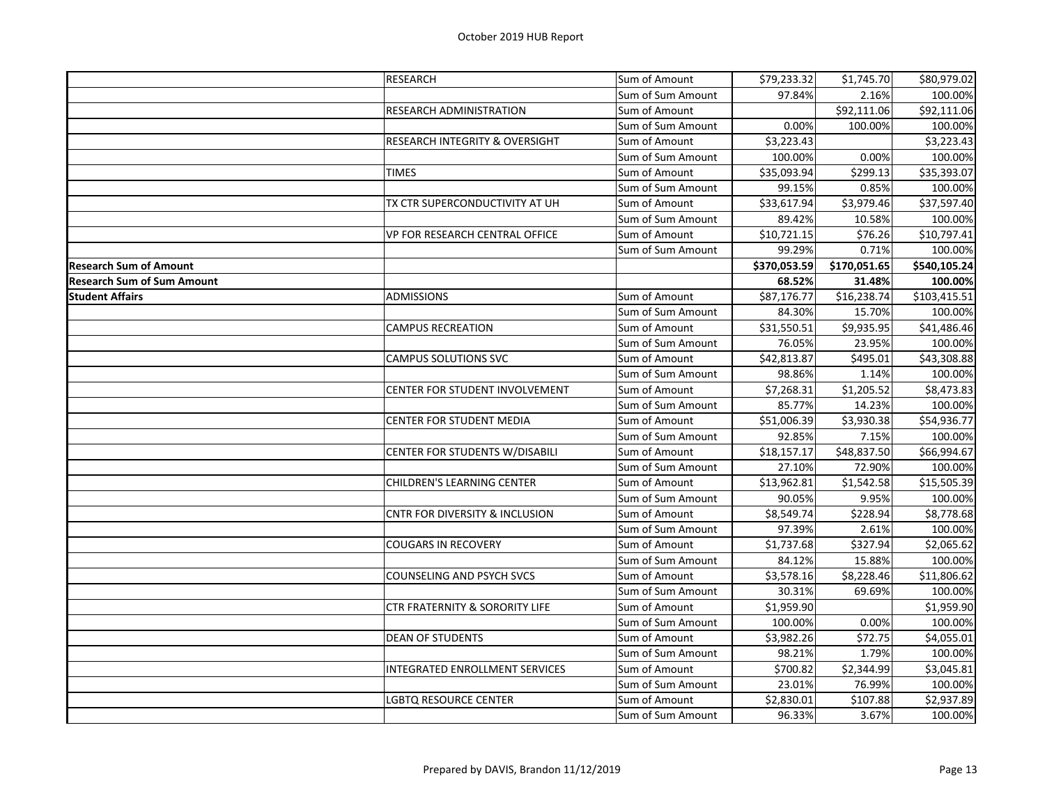|                                   | <b>RESEARCH</b>                           | Sum of Amount     | \$79,233.32  | \$1,745.70   | \$80,979.02  |
|-----------------------------------|-------------------------------------------|-------------------|--------------|--------------|--------------|
|                                   |                                           | Sum of Sum Amount | 97.84%       | 2.16%        | 100.00%      |
|                                   | RESEARCH ADMINISTRATION                   | Sum of Amount     |              | \$92,111.06  | \$92,111.06  |
|                                   |                                           | Sum of Sum Amount | 0.00%        | 100.00%      | 100.00%      |
|                                   | <b>RESEARCH INTEGRITY &amp; OVERSIGHT</b> | Sum of Amount     | \$3,223.43   |              | \$3,223.43   |
|                                   |                                           | Sum of Sum Amount | 100.00%      | 0.00%        | 100.00%      |
|                                   | <b>TIMES</b>                              | Sum of Amount     | \$35,093.94  | \$299.13     | \$35,393.07  |
|                                   |                                           | Sum of Sum Amount | 99.15%       | 0.85%        | 100.00%      |
|                                   | TX CTR SUPERCONDUCTIVITY AT UH            | Sum of Amount     | \$33,617.94  | \$3,979.46   | \$37,597.40  |
|                                   |                                           | Sum of Sum Amount | 89.42%       | 10.58%       | 100.00%      |
|                                   | VP FOR RESEARCH CENTRAL OFFICE            | Sum of Amount     | \$10,721.15  | \$76.26      | \$10,797.41  |
|                                   |                                           | Sum of Sum Amount | 99.29%       | 0.71%        | 100.00%      |
| <b>Research Sum of Amount</b>     |                                           |                   | \$370,053.59 | \$170,051.65 | \$540,105.24 |
| <b>Research Sum of Sum Amount</b> |                                           |                   | 68.52%       | 31.48%       | 100.00%      |
| <b>Student Affairs</b>            | <b>ADMISSIONS</b>                         | Sum of Amount     | \$87,176.77  | \$16,238.74  | \$103,415.51 |
|                                   |                                           | Sum of Sum Amount | 84.30%       | 15.70%       | 100.00%      |
|                                   | <b>CAMPUS RECREATION</b>                  | Sum of Amount     | \$31,550.51  | \$9,935.95   | \$41,486.46  |
|                                   |                                           | Sum of Sum Amount | 76.05%       | 23.95%       | 100.00%      |
|                                   | <b>CAMPUS SOLUTIONS SVC</b>               | Sum of Amount     | \$42,813.87  | \$495.01     | \$43,308.88  |
|                                   |                                           | Sum of Sum Amount | 98.86%       | 1.14%        | 100.00%      |
|                                   | CENTER FOR STUDENT INVOLVEMENT            | Sum of Amount     | \$7,268.31   | \$1,205.52   | \$8,473.83   |
|                                   |                                           | Sum of Sum Amount | 85.77%       | 14.23%       | 100.00%      |
|                                   | CENTER FOR STUDENT MEDIA                  | Sum of Amount     | \$51,006.39  | \$3,930.38   | \$54,936.77  |
|                                   |                                           | Sum of Sum Amount | 92.85%       | 7.15%        | 100.00%      |
|                                   | CENTER FOR STUDENTS W/DISABILI            | Sum of Amount     | \$18,157.17  | \$48,837.50  | \$66,994.67  |
|                                   |                                           | Sum of Sum Amount | 27.10%       | 72.90%       | 100.00%      |
|                                   | CHILDREN'S LEARNING CENTER                | Sum of Amount     | \$13,962.81  | \$1,542.58   | \$15,505.39  |
|                                   |                                           | Sum of Sum Amount | 90.05%       | 9.95%        | 100.00%      |
|                                   | <b>CNTR FOR DIVERSITY &amp; INCLUSION</b> | Sum of Amount     | \$8,549.74   | \$228.94     | \$8,778.68   |
|                                   |                                           | Sum of Sum Amount | 97.39%       | 2.61%        | 100.00%      |
|                                   | <b>COUGARS IN RECOVERY</b>                | Sum of Amount     | \$1,737.68   | \$327.94     | \$2,065.62   |
|                                   |                                           | Sum of Sum Amount | 84.12%       | 15.88%       | 100.00%      |
|                                   | <b>COUNSELING AND PSYCH SVCS</b>          | Sum of Amount     | \$3,578.16   | \$8,228.46   | \$11,806.62  |
|                                   |                                           | Sum of Sum Amount | 30.31%       | 69.69%       | 100.00%      |
|                                   | CTR FRATERNITY & SORORITY LIFE            | Sum of Amount     | \$1,959.90   |              | \$1,959.90   |
|                                   |                                           | Sum of Sum Amount | 100.00%      | 0.00%        | 100.00%      |
|                                   | <b>DEAN OF STUDENTS</b>                   | Sum of Amount     | \$3,982.26   | \$72.75      | \$4,055.01   |
|                                   |                                           | Sum of Sum Amount | 98.21%       | 1.79%        | 100.00%      |
|                                   | INTEGRATED ENROLLMENT SERVICES            | Sum of Amount     | \$700.82     | \$2,344.99   | \$3,045.81   |
|                                   |                                           | Sum of Sum Amount | 23.01%       | 76.99%       | 100.00%      |
|                                   | LGBTQ RESOURCE CENTER                     | Sum of Amount     | \$2,830.01   | \$107.88     | \$2,937.89   |
|                                   |                                           | Sum of Sum Amount | 96.33%       | 3.67%        | 100.00%      |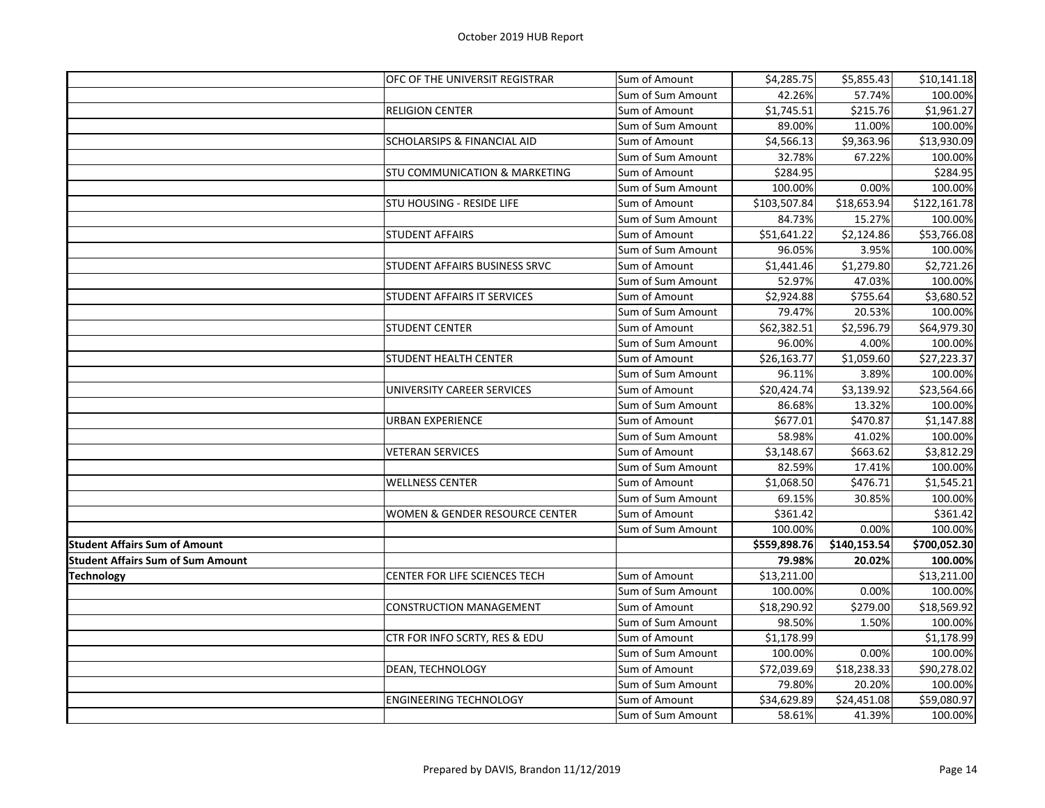|                                          | OFC OF THE UNIVERSIT REGISTRAR           | Sum of Amount     | \$4,285.75   | \$5,855.43   | \$10,141.18  |
|------------------------------------------|------------------------------------------|-------------------|--------------|--------------|--------------|
|                                          |                                          | Sum of Sum Amount | 42.26%       | 57.74%       | 100.00%      |
|                                          | <b>RELIGION CENTER</b>                   | Sum of Amount     | \$1,745.51   | \$215.76     | \$1,961.27   |
|                                          |                                          | Sum of Sum Amount | 89.00%       | 11.00%       | 100.00%      |
|                                          | <b>SCHOLARSIPS &amp; FINANCIAL AID</b>   | Sum of Amount     | \$4,566.13   | \$9,363.96   | \$13,930.09  |
|                                          |                                          | Sum of Sum Amount | 32.78%       | 67.22%       | 100.00%      |
|                                          | <b>STU COMMUNICATION &amp; MARKETING</b> | Sum of Amount     | \$284.95     |              | \$284.95     |
|                                          |                                          | Sum of Sum Amount | 100.00%      | 0.00%        | 100.00%      |
|                                          | <b>STU HOUSING - RESIDE LIFE</b>         | Sum of Amount     | \$103,507.84 | \$18,653.94  | \$122,161.78 |
|                                          |                                          | Sum of Sum Amount | 84.73%       | 15.27%       | 100.00%      |
|                                          | <b>STUDENT AFFAIRS</b>                   | Sum of Amount     | \$51,641.22  | \$2,124.86   | \$53,766.08  |
|                                          |                                          | Sum of Sum Amount | 96.05%       | 3.95%        | 100.00%      |
|                                          | STUDENT AFFAIRS BUSINESS SRVC            | Sum of Amount     | \$1,441.46   | \$1,279.80   | \$2,721.26   |
|                                          |                                          | Sum of Sum Amount | 52.97%       | 47.03%       | 100.00%      |
|                                          | <b>STUDENT AFFAIRS IT SERVICES</b>       | Sum of Amount     | \$2,924.88   | \$755.64     | \$3,680.52   |
|                                          |                                          | Sum of Sum Amount | 79.47%       | 20.53%       | 100.00%      |
|                                          | <b>STUDENT CENTER</b>                    | Sum of Amount     | \$62,382.51  | \$2,596.79   | \$64,979.30  |
|                                          |                                          | Sum of Sum Amount | 96.00%       | 4.00%        | 100.00%      |
|                                          | <b>STUDENT HEALTH CENTER</b>             | Sum of Amount     | \$26,163.77  | \$1,059.60   | \$27,223.37  |
|                                          |                                          | Sum of Sum Amount | 96.11%       | 3.89%        | 100.00%      |
|                                          | UNIVERSITY CAREER SERVICES               | Sum of Amount     | \$20,424.74  | \$3,139.92   | \$23,564.66  |
|                                          |                                          | Sum of Sum Amount | 86.68%       | 13.32%       | 100.00%      |
|                                          | <b>URBAN EXPERIENCE</b>                  | Sum of Amount     | \$677.01     | \$470.87     | \$1,147.88   |
|                                          |                                          | Sum of Sum Amount | 58.98%       | 41.02%       | 100.00%      |
|                                          | <b>VETERAN SERVICES</b>                  | Sum of Amount     | \$3,148.67   | \$663.62     | \$3,812.29   |
|                                          |                                          | Sum of Sum Amount | 82.59%       | 17.41%       | 100.00%      |
|                                          | <b>WELLNESS CENTER</b>                   | Sum of Amount     | \$1,068.50   | \$476.71     | \$1,545.21   |
|                                          |                                          | Sum of Sum Amount | 69.15%       | 30.85%       | 100.00%      |
|                                          | WOMEN & GENDER RESOURCE CENTER           | Sum of Amount     | \$361.42     |              | \$361.42     |
|                                          |                                          | Sum of Sum Amount | 100.00%      | 0.00%        | 100.00%      |
| <b>Student Affairs Sum of Amount</b>     |                                          |                   | \$559,898.76 | \$140,153.54 | \$700,052.30 |
| <b>Student Affairs Sum of Sum Amount</b> |                                          |                   | 79.98%       | 20.02%       | 100.00%      |
| <b>Technology</b>                        | CENTER FOR LIFE SCIENCES TECH            | Sum of Amount     | \$13,211.00  |              | \$13,211.00  |
|                                          |                                          | Sum of Sum Amount | 100.00%      | 0.00%        | 100.00%      |
|                                          | <b>CONSTRUCTION MANAGEMENT</b>           | Sum of Amount     | \$18,290.92  | \$279.00     | \$18,569.92  |
|                                          |                                          | Sum of Sum Amount | 98.50%       | 1.50%        | 100.00%      |
|                                          | CTR FOR INFO SCRTY, RES & EDU            | Sum of Amount     | \$1,178.99   |              | \$1,178.99   |
|                                          |                                          | Sum of Sum Amount | 100.00%      | 0.00%        | 100.00%      |
|                                          | DEAN, TECHNOLOGY                         | Sum of Amount     | \$72,039.69  | \$18,238.33  | \$90,278.02  |
|                                          |                                          | Sum of Sum Amount | 79.80%       | 20.20%       | 100.00%      |
|                                          | <b>ENGINEERING TECHNOLOGY</b>            | Sum of Amount     | \$34,629.89  | \$24,451.08  | \$59,080.97  |
|                                          |                                          | Sum of Sum Amount | 58.61%       | 41.39%       | 100.00%      |